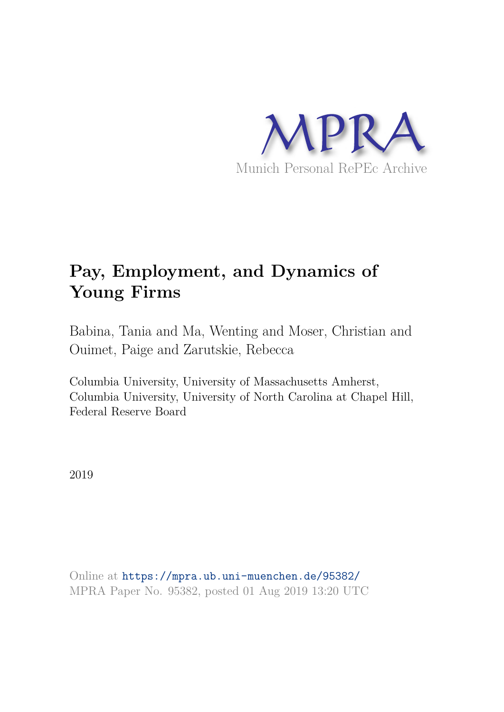

# **Pay, Employment, and Dynamics of Young Firms**

Babina, Tania and Ma, Wenting and Moser, Christian and Ouimet, Paige and Zarutskie, Rebecca

Columbia University, University of Massachusetts Amherst, Columbia University, University of North Carolina at Chapel Hill, Federal Reserve Board

2019

Online at https://mpra.ub.uni-muenchen.de/95382/ MPRA Paper No. 95382, posted 01 Aug 2019 13:20 UTC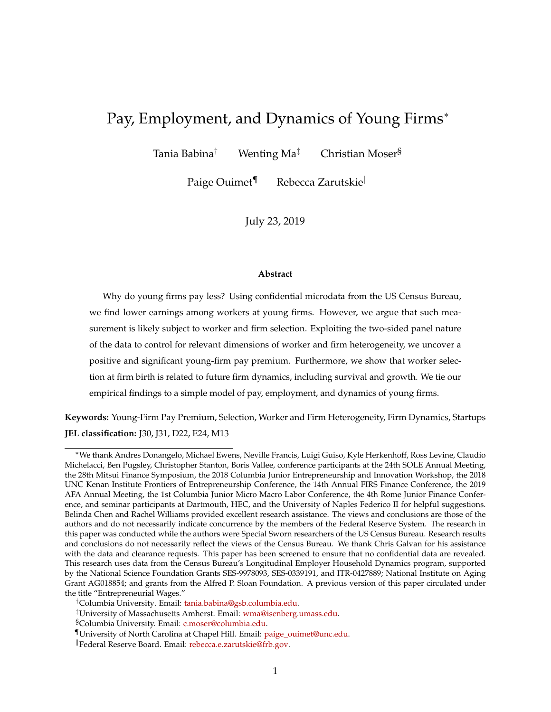# Pay, Employment, and Dynamics of Young Firms<sup>∗</sup>

Tania Babina<sup>†</sup> Menting Ma<sup>‡</sup> Christian Moser<sup>§</sup>

Paige Ouimet<sup>¶</sup> Rebecca Zarutskie

July 23, 2019

#### **Abstract**

Why do young firms pay less? Using confidential microdata from the US Census Bureau, we find lower earnings among workers at young firms. However, we argue that such measurement is likely subject to worker and firm selection. Exploiting the two-sided panel nature of the data to control for relevant dimensions of worker and firm heterogeneity, we uncover a positive and significant young-firm pay premium. Furthermore, we show that worker selection at firm birth is related to future firm dynamics, including survival and growth. We tie our empirical findings to a simple model of pay, employment, and dynamics of young firms.

**Keywords:** Young-Firm Pay Premium, Selection, Worker and Firm Heterogeneity, Firm Dynamics, Startups **JEL classification:** J30, J31, D22, E24, M13

<sup>∗</sup>We thank Andres Donangelo, Michael Ewens, Neville Francis, Luigi Guiso, Kyle Herkenhoff, Ross Levine, Claudio Michelacci, Ben Pugsley, Christopher Stanton, Boris Vallee, conference participants at the 24th SOLE Annual Meeting, the 28th Mitsui Finance Symposium, the 2018 Columbia Junior Entrepreneurship and Innovation Workshop, the 2018 UNC Kenan Institute Frontiers of Entrepreneurship Conference, the 14th Annual FIRS Finance Conference, the 2019 AFA Annual Meeting, the 1st Columbia Junior Micro Macro Labor Conference, the 4th Rome Junior Finance Conference, and seminar participants at Dartmouth, HEC, and the University of Naples Federico II for helpful suggestions. Belinda Chen and Rachel Williams provided excellent research assistance. The views and conclusions are those of the authors and do not necessarily indicate concurrence by the members of the Federal Reserve System. The research in this paper was conducted while the authors were Special Sworn researchers of the US Census Bureau. Research results and conclusions do not necessarily reflect the views of the Census Bureau. We thank Chris Galvan for his assistance with the data and clearance requests. This paper has been screened to ensure that no confidential data are revealed. This research uses data from the Census Bureau's Longitudinal Employer Household Dynamics program, supported by the National Science Foundation Grants SES-9978093, SES-0339191, and ITR-0427889; National Institute on Aging Grant AG018854; and grants from the Alfred P. Sloan Foundation. A previous version of this paper circulated under the title "Entrepreneurial Wages."

<sup>†</sup>Columbia University. Email: tania.babina@gsb.columbia.edu.

<sup>‡</sup>University of Massachusetts Amherst. Email: wma@isenberg.umass.edu.

<sup>§</sup>Columbia University. Email: c.moser@columbia.edu.

<sup>¶</sup>University of North Carolina at Chapel Hill. Email: paige\_ouimet@unc.edu.

<sup>k</sup>Federal Reserve Board. Email: rebecca.e.zarutskie@frb.gov.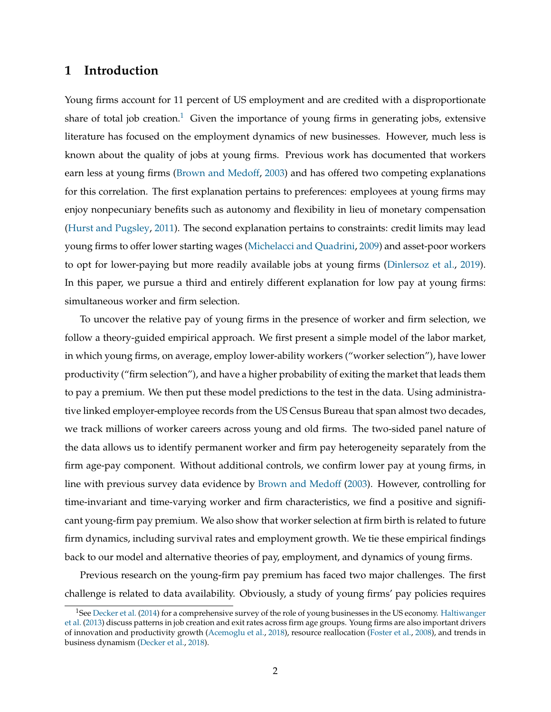# **1 Introduction**

Young firms account for 11 percent of US employment and are credited with a disproportionate share of total job creation.<sup>1</sup> Given the importance of young firms in generating jobs, extensive literature has focused on the employment dynamics of new businesses. However, much less is known about the quality of jobs at young firms. Previous work has documented that workers earn less at young firms (Brown and Medoff, 2003) and has offered two competing explanations for this correlation. The first explanation pertains to preferences: employees at young firms may enjoy nonpecuniary benefits such as autonomy and flexibility in lieu of monetary compensation (Hurst and Pugsley, 2011). The second explanation pertains to constraints: credit limits may lead young firms to offer lower starting wages (Michelacci and Quadrini, 2009) and asset-poor workers to opt for lower-paying but more readily available jobs at young firms (Dinlersoz et al., 2019). In this paper, we pursue a third and entirely different explanation for low pay at young firms: simultaneous worker and firm selection.

To uncover the relative pay of young firms in the presence of worker and firm selection, we follow a theory-guided empirical approach. We first present a simple model of the labor market, in which young firms, on average, employ lower-ability workers ("worker selection"), have lower productivity ("firm selection"), and have a higher probability of exiting the market that leads them to pay a premium. We then put these model predictions to the test in the data. Using administrative linked employer-employee records from the US Census Bureau that span almost two decades, we track millions of worker careers across young and old firms. The two-sided panel nature of the data allows us to identify permanent worker and firm pay heterogeneity separately from the firm age-pay component. Without additional controls, we confirm lower pay at young firms, in line with previous survey data evidence by Brown and Medoff (2003). However, controlling for time-invariant and time-varying worker and firm characteristics, we find a positive and significant young-firm pay premium. We also show that worker selection at firm birth is related to future firm dynamics, including survival rates and employment growth. We tie these empirical findings back to our model and alternative theories of pay, employment, and dynamics of young firms.

Previous research on the young-firm pay premium has faced two major challenges. The first challenge is related to data availability. Obviously, a study of young firms' pay policies requires

<sup>&</sup>lt;sup>1</sup>See Decker et al. (2014) for a comprehensive survey of the role of young businesses in the US economy. Haltiwanger et al. (2013) discuss patterns in job creation and exit rates across firm age groups. Young firms are also important drivers of innovation and productivity growth (Acemoglu et al., 2018), resource reallocation (Foster et al., 2008), and trends in business dynamism (Decker et al., 2018).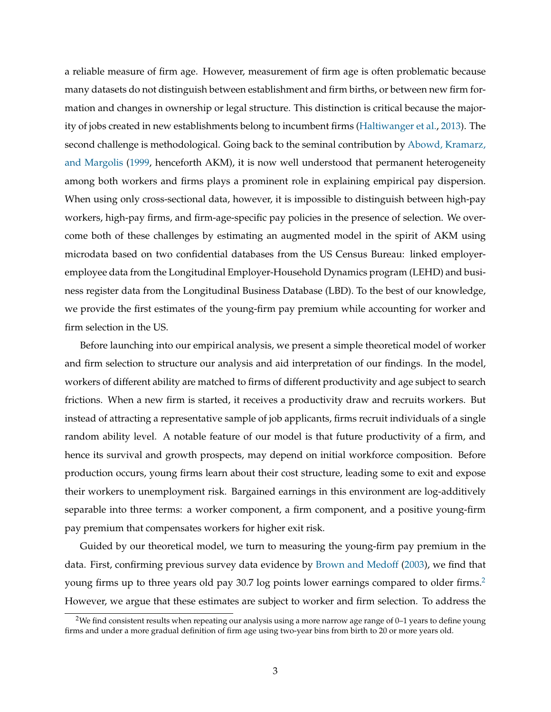a reliable measure of firm age. However, measurement of firm age is often problematic because many datasets do not distinguish between establishment and firm births, or between new firm formation and changes in ownership or legal structure. This distinction is critical because the majority of jobs created in new establishments belong to incumbent firms (Haltiwanger et al., 2013). The second challenge is methodological. Going back to the seminal contribution by Abowd, Kramarz, and Margolis (1999, henceforth AKM), it is now well understood that permanent heterogeneity among both workers and firms plays a prominent role in explaining empirical pay dispersion. When using only cross-sectional data, however, it is impossible to distinguish between high-pay workers, high-pay firms, and firm-age-specific pay policies in the presence of selection. We overcome both of these challenges by estimating an augmented model in the spirit of AKM using microdata based on two confidential databases from the US Census Bureau: linked employeremployee data from the Longitudinal Employer-Household Dynamics program (LEHD) and business register data from the Longitudinal Business Database (LBD). To the best of our knowledge, we provide the first estimates of the young-firm pay premium while accounting for worker and firm selection in the US.

Before launching into our empirical analysis, we present a simple theoretical model of worker and firm selection to structure our analysis and aid interpretation of our findings. In the model, workers of different ability are matched to firms of different productivity and age subject to search frictions. When a new firm is started, it receives a productivity draw and recruits workers. But instead of attracting a representative sample of job applicants, firms recruit individuals of a single random ability level. A notable feature of our model is that future productivity of a firm, and hence its survival and growth prospects, may depend on initial workforce composition. Before production occurs, young firms learn about their cost structure, leading some to exit and expose their workers to unemployment risk. Bargained earnings in this environment are log-additively separable into three terms: a worker component, a firm component, and a positive young-firm pay premium that compensates workers for higher exit risk.

Guided by our theoretical model, we turn to measuring the young-firm pay premium in the data. First, confirming previous survey data evidence by Brown and Medoff (2003), we find that young firms up to three years old pay 30.7 log points lower earnings compared to older firms.<sup>2</sup> However, we argue that these estimates are subject to worker and firm selection. To address the

<sup>2</sup>We find consistent results when repeating our analysis using a more narrow age range of 0–1 years to define young firms and under a more gradual definition of firm age using two-year bins from birth to 20 or more years old.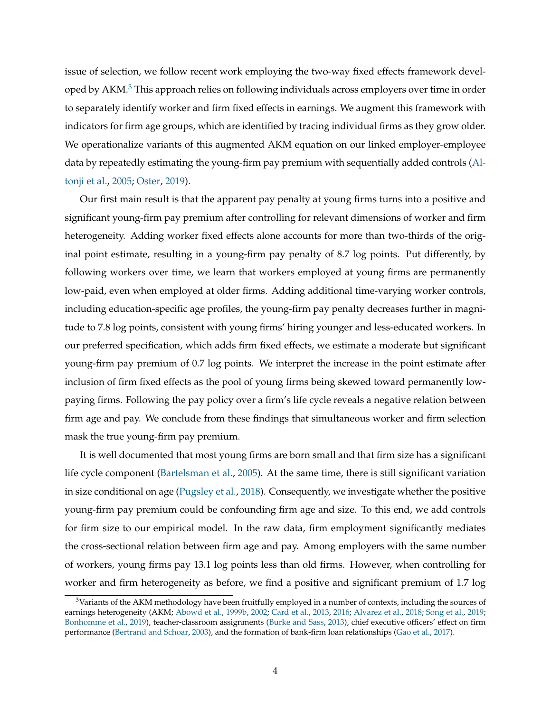issue of selection, we follow recent work employing the two-way fixed effects framework developed by  $AKM<sup>3</sup>$ . This approach relies on following individuals across employers over time in order to separately identify worker and firm fixed effects in earnings. We augment this framework with indicators for firm age groups, which are identified by tracing individual firms as they grow older. We operationalize variants of this augmented AKM equation on our linked employer-employee data by repeatedly estimating the young-firm pay premium with sequentially added controls (Altonji et al., 2005; Oster, 2019).

Our first main result is that the apparent pay penalty at young firms turns into a positive and significant young-firm pay premium after controlling for relevant dimensions of worker and firm heterogeneity. Adding worker fixed effects alone accounts for more than two-thirds of the original point estimate, resulting in a young-firm pay penalty of 8.7 log points. Put differently, by following workers over time, we learn that workers employed at young firms are permanently low-paid, even when employed at older firms. Adding additional time-varying worker controls, including education-specific age profiles, the young-firm pay penalty decreases further in magnitude to 7.8 log points, consistent with young firms' hiring younger and less-educated workers. In our preferred specification, which adds firm fixed effects, we estimate a moderate but significant young-firm pay premium of 0.7 log points. We interpret the increase in the point estimate after inclusion of firm fixed effects as the pool of young firms being skewed toward permanently lowpaying firms. Following the pay policy over a firm's life cycle reveals a negative relation between firm age and pay. We conclude from these findings that simultaneous worker and firm selection mask the true young-firm pay premium.

It is well documented that most young firms are born small and that firm size has a significant life cycle component (Bartelsman et al., 2005). At the same time, there is still significant variation in size conditional on age (Pugsley et al., 2018). Consequently, we investigate whether the positive young-firm pay premium could be confounding firm age and size. To this end, we add controls for firm size to our empirical model. In the raw data, firm employment significantly mediates the cross-sectional relation between firm age and pay. Among employers with the same number of workers, young firms pay 13.1 log points less than old firms. However, when controlling for worker and firm heterogeneity as before, we find a positive and significant premium of 1.7 log

<sup>&</sup>lt;sup>3</sup>Variants of the AKM methodology have been fruitfully employed in a number of contexts, including the sources of earnings heterogeneity (AKM; Abowd et al., 1999b, 2002; Card et al., 2013, 2016; Alvarez et al., 2018; Song et al., 2019; Bonhomme et al., 2019), teacher-classroom assignments (Burke and Sass, 2013), chief executive officers' effect on firm performance (Bertrand and Schoar, 2003), and the formation of bank-firm loan relationships (Gao et al., 2017).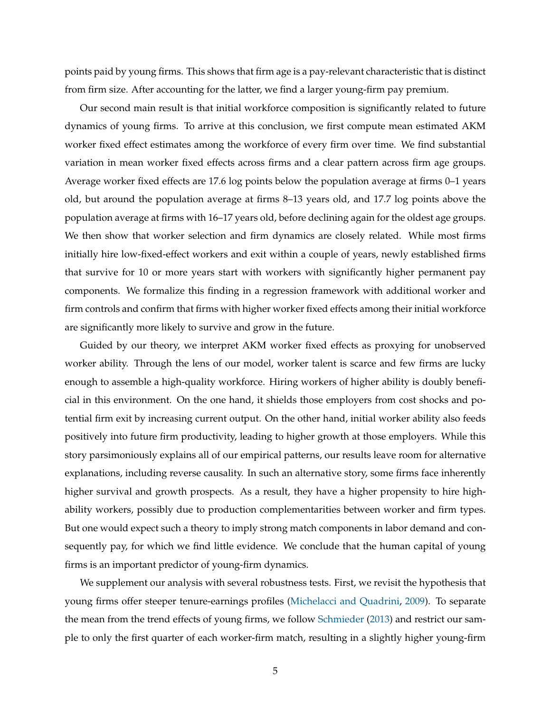points paid by young firms. This shows that firm age is a pay-relevant characteristic that is distinct from firm size. After accounting for the latter, we find a larger young-firm pay premium.

Our second main result is that initial workforce composition is significantly related to future dynamics of young firms. To arrive at this conclusion, we first compute mean estimated AKM worker fixed effect estimates among the workforce of every firm over time. We find substantial variation in mean worker fixed effects across firms and a clear pattern across firm age groups. Average worker fixed effects are 17.6 log points below the population average at firms 0–1 years old, but around the population average at firms 8–13 years old, and 17.7 log points above the population average at firms with 16–17 years old, before declining again for the oldest age groups. We then show that worker selection and firm dynamics are closely related. While most firms initially hire low-fixed-effect workers and exit within a couple of years, newly established firms that survive for 10 or more years start with workers with significantly higher permanent pay components. We formalize this finding in a regression framework with additional worker and firm controls and confirm that firms with higher worker fixed effects among their initial workforce are significantly more likely to survive and grow in the future.

Guided by our theory, we interpret AKM worker fixed effects as proxying for unobserved worker ability. Through the lens of our model, worker talent is scarce and few firms are lucky enough to assemble a high-quality workforce. Hiring workers of higher ability is doubly beneficial in this environment. On the one hand, it shields those employers from cost shocks and potential firm exit by increasing current output. On the other hand, initial worker ability also feeds positively into future firm productivity, leading to higher growth at those employers. While this story parsimoniously explains all of our empirical patterns, our results leave room for alternative explanations, including reverse causality. In such an alternative story, some firms face inherently higher survival and growth prospects. As a result, they have a higher propensity to hire highability workers, possibly due to production complementarities between worker and firm types. But one would expect such a theory to imply strong match components in labor demand and consequently pay, for which we find little evidence. We conclude that the human capital of young firms is an important predictor of young-firm dynamics.

We supplement our analysis with several robustness tests. First, we revisit the hypothesis that young firms offer steeper tenure-earnings profiles (Michelacci and Quadrini, 2009). To separate the mean from the trend effects of young firms, we follow Schmieder (2013) and restrict our sample to only the first quarter of each worker-firm match, resulting in a slightly higher young-firm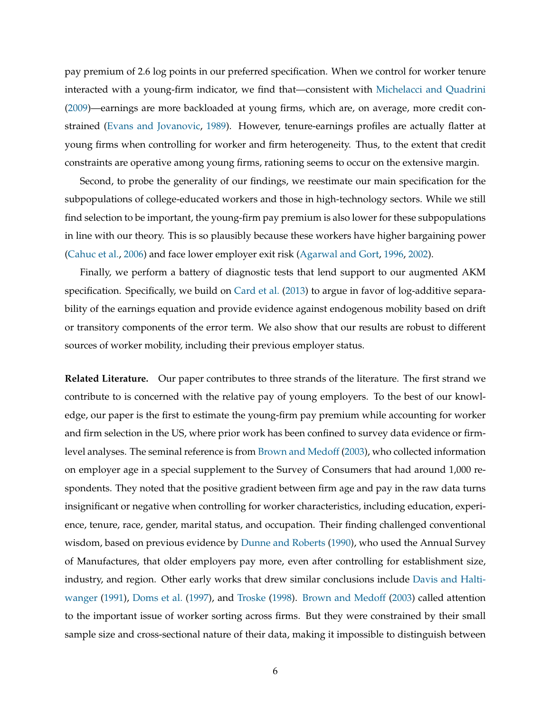pay premium of 2.6 log points in our preferred specification. When we control for worker tenure interacted with a young-firm indicator, we find that—consistent with Michelacci and Quadrini (2009)—earnings are more backloaded at young firms, which are, on average, more credit constrained (Evans and Jovanovic, 1989). However, tenure-earnings profiles are actually flatter at young firms when controlling for worker and firm heterogeneity. Thus, to the extent that credit constraints are operative among young firms, rationing seems to occur on the extensive margin.

Second, to probe the generality of our findings, we reestimate our main specification for the subpopulations of college-educated workers and those in high-technology sectors. While we still find selection to be important, the young-firm pay premium is also lower for these subpopulations in line with our theory. This is so plausibly because these workers have higher bargaining power (Cahuc et al., 2006) and face lower employer exit risk (Agarwal and Gort, 1996, 2002).

Finally, we perform a battery of diagnostic tests that lend support to our augmented AKM specification. Specifically, we build on Card et al. (2013) to argue in favor of log-additive separability of the earnings equation and provide evidence against endogenous mobility based on drift or transitory components of the error term. We also show that our results are robust to different sources of worker mobility, including their previous employer status.

**Related Literature.** Our paper contributes to three strands of the literature. The first strand we contribute to is concerned with the relative pay of young employers. To the best of our knowledge, our paper is the first to estimate the young-firm pay premium while accounting for worker and firm selection in the US, where prior work has been confined to survey data evidence or firmlevel analyses. The seminal reference is from Brown and Medoff (2003), who collected information on employer age in a special supplement to the Survey of Consumers that had around 1,000 respondents. They noted that the positive gradient between firm age and pay in the raw data turns insignificant or negative when controlling for worker characteristics, including education, experience, tenure, race, gender, marital status, and occupation. Their finding challenged conventional wisdom, based on previous evidence by Dunne and Roberts (1990), who used the Annual Survey of Manufactures, that older employers pay more, even after controlling for establishment size, industry, and region. Other early works that drew similar conclusions include Davis and Haltiwanger (1991), Doms et al. (1997), and Troske (1998). Brown and Medoff (2003) called attention to the important issue of worker sorting across firms. But they were constrained by their small sample size and cross-sectional nature of their data, making it impossible to distinguish between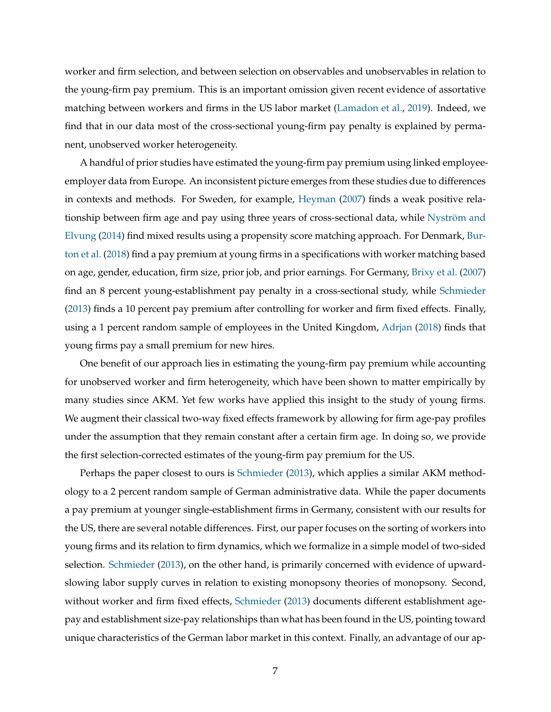worker and firm selection, and between selection on observables and unobservables in relation to the young-firm pay premium. This is an important omission given recent evidence of assortative matching between workers and firms in the US labor market (Lamadon et al., 2019). Indeed, we find that in our data most of the cross-sectional young-firm pay penalty is explained by permanent, unobserved worker heterogeneity.

A handful of prior studies have estimated the young-firm pay premium using linked employeeemployer data from Europe. An inconsistent picture emerges from these studies due to differences in contexts and methods. For Sweden, for example, Heyman (2007) finds a weak positive relationship between firm age and pay using three years of cross-sectional data, while Nyström and Elvung (2014) find mixed results using a propensity score matching approach. For Denmark, Burton et al. (2018) find a pay premium at young firms in a specifications with worker matching based on age, gender, education, firm size, prior job, and prior earnings. For Germany, Brixy et al. (2007) find an 8 percent young-establishment pay penalty in a cross-sectional study, while Schmieder (2013) finds a 10 percent pay premium after controlling for worker and firm fixed effects. Finally, using a 1 percent random sample of employees in the United Kingdom, Adrjan (2018) finds that young firms pay a small premium for new hires.

One benefit of our approach lies in estimating the young-firm pay premium while accounting for unobserved worker and firm heterogeneity, which have been shown to matter empirically by many studies since AKM. Yet few works have applied this insight to the study of young firms. We augment their classical two-way fixed effects framework by allowing for firm age-pay profiles under the assumption that they remain constant after a certain firm age. In doing so, we provide the first selection-corrected estimates of the young-firm pay premium for the US.

Perhaps the paper closest to ours is Schmieder (2013), which applies a similar AKM methodology to a 2 percent random sample of German administrative data. While the paper documents a pay premium at younger single-establishment firms in Germany, consistent with our results for the US, there are several notable differences. First, our paper focuses on the sorting of workers into young firms and its relation to firm dynamics, which we formalize in a simple model of two-sided selection. Schmieder (2013), on the other hand, is primarily concerned with evidence of upwardslowing labor supply curves in relation to existing monopsony theories of monopsony. Second, without worker and firm fixed effects, Schmieder (2013) documents different establishment agepay and establishment size-pay relationships than what has been found in the US, pointing toward unique characteristics of the German labor market in this context. Finally, an advantage of our ap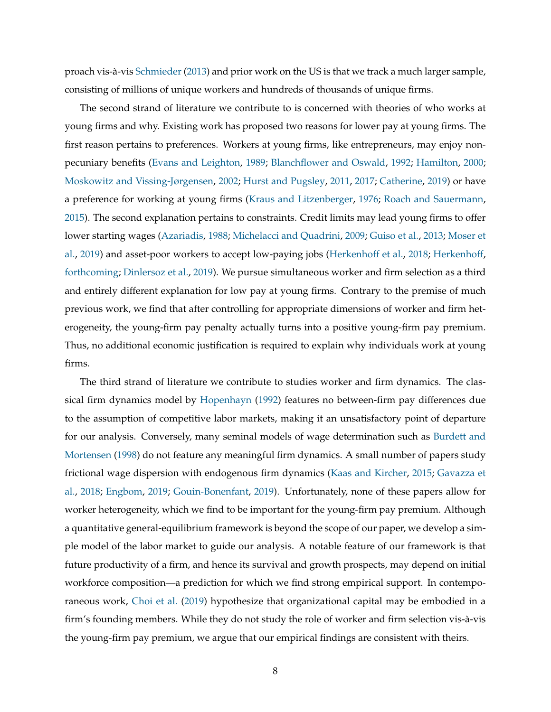proach vis-à-vis Schmieder (2013) and prior work on the US is that we track a much larger sample, consisting of millions of unique workers and hundreds of thousands of unique firms.

The second strand of literature we contribute to is concerned with theories of who works at young firms and why. Existing work has proposed two reasons for lower pay at young firms. The first reason pertains to preferences. Workers at young firms, like entrepreneurs, may enjoy nonpecuniary benefits (Evans and Leighton, 1989; Blanchflower and Oswald, 1992; Hamilton, 2000; Moskowitz and Vissing-Jørgensen, 2002; Hurst and Pugsley, 2011, 2017; Catherine, 2019) or have a preference for working at young firms (Kraus and Litzenberger, 1976; Roach and Sauermann, 2015). The second explanation pertains to constraints. Credit limits may lead young firms to offer lower starting wages (Azariadis, 1988; Michelacci and Quadrini, 2009; Guiso et al., 2013; Moser et al., 2019) and asset-poor workers to accept low-paying jobs (Herkenhoff et al., 2018; Herkenhoff, forthcoming; Dinlersoz et al., 2019). We pursue simultaneous worker and firm selection as a third and entirely different explanation for low pay at young firms. Contrary to the premise of much previous work, we find that after controlling for appropriate dimensions of worker and firm heterogeneity, the young-firm pay penalty actually turns into a positive young-firm pay premium. Thus, no additional economic justification is required to explain why individuals work at young firms.

The third strand of literature we contribute to studies worker and firm dynamics. The classical firm dynamics model by Hopenhayn (1992) features no between-firm pay differences due to the assumption of competitive labor markets, making it an unsatisfactory point of departure for our analysis. Conversely, many seminal models of wage determination such as Burdett and Mortensen (1998) do not feature any meaningful firm dynamics. A small number of papers study frictional wage dispersion with endogenous firm dynamics (Kaas and Kircher, 2015; Gavazza et al., 2018; Engbom, 2019; Gouin-Bonenfant, 2019). Unfortunately, none of these papers allow for worker heterogeneity, which we find to be important for the young-firm pay premium. Although a quantitative general-equilibrium framework is beyond the scope of our paper, we develop a simple model of the labor market to guide our analysis. A notable feature of our framework is that future productivity of a firm, and hence its survival and growth prospects, may depend on initial workforce composition—a prediction for which we find strong empirical support. In contemporaneous work, Choi et al. (2019) hypothesize that organizational capital may be embodied in a firm's founding members. While they do not study the role of worker and firm selection vis-à-vis the young-firm pay premium, we argue that our empirical findings are consistent with theirs.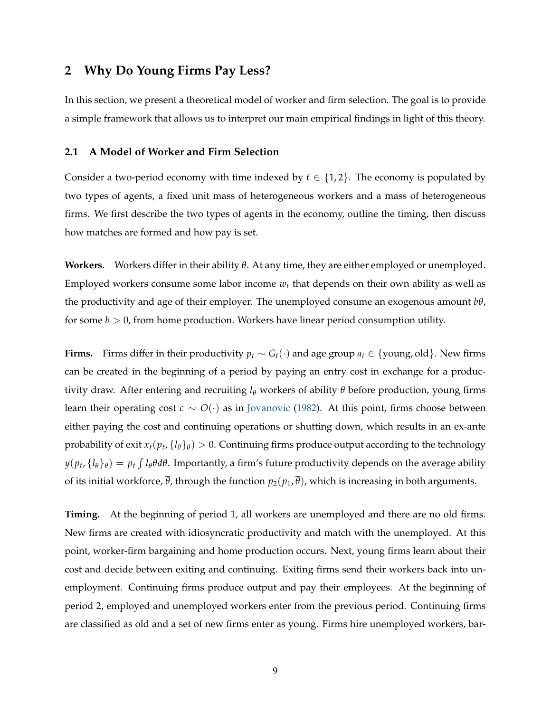# **2 Why Do Young Firms Pay Less?**

In this section, we present a theoretical model of worker and firm selection. The goal is to provide a simple framework that allows us to interpret our main empirical findings in light of this theory.

### **2.1 A Model of Worker and Firm Selection**

Consider a two-period economy with time indexed by  $t \in \{1,2\}$ . The economy is populated by two types of agents, a fixed unit mass of heterogeneous workers and a mass of heterogeneous firms. We first describe the two types of agents in the economy, outline the timing, then discuss how matches are formed and how pay is set.

**Workers.** Workers differ in their ability *θ*. At any time, they are either employed or unemployed. Employed workers consume some labor income  $w_t$  that depends on their own ability as well as the productivity and age of their employer. The unemployed consume an exogenous amount *bθ*, for some  $b > 0$ , from home production. Workers have linear period consumption utility.

**Firms.** Firms differ in their productivity  $p_t \sim G_t(\cdot)$  and age group  $a_t \in \{$ young, old $\}$ . New firms can be created in the beginning of a period by paying an entry cost in exchange for a productivity draw. After entering and recruiting *l<sup>θ</sup>* workers of ability *θ* before production, young firms learn their operating cost *c* ∼ *O*(·) as in Jovanovic (1982). At this point, firms choose between either paying the cost and continuing operations or shutting down, which results in an ex-ante probability of exit  $x_t(p_t, \{l_\theta\}_\theta) > 0$ . Continuing firms produce output according to the technology *y*(*p<sup>t</sup>* , {*lθ*}*<sup>θ</sup>* ) = *p<sup>t</sup>* ´ *l<sup>θ</sup> θdθ*. Importantly, a firm's future productivity depends on the average ability of its initial workforce,  $\bar{\theta}$ , through the function  $p_2(p_1, \bar{\theta})$ , which is increasing in both arguments.

**Timing.** At the beginning of period 1, all workers are unemployed and there are no old firms. New firms are created with idiosyncratic productivity and match with the unemployed. At this point, worker-firm bargaining and home production occurs. Next, young firms learn about their cost and decide between exiting and continuing. Exiting firms send their workers back into unemployment. Continuing firms produce output and pay their employees. At the beginning of period 2, employed and unemployed workers enter from the previous period. Continuing firms are classified as old and a set of new firms enter as young. Firms hire unemployed workers, bar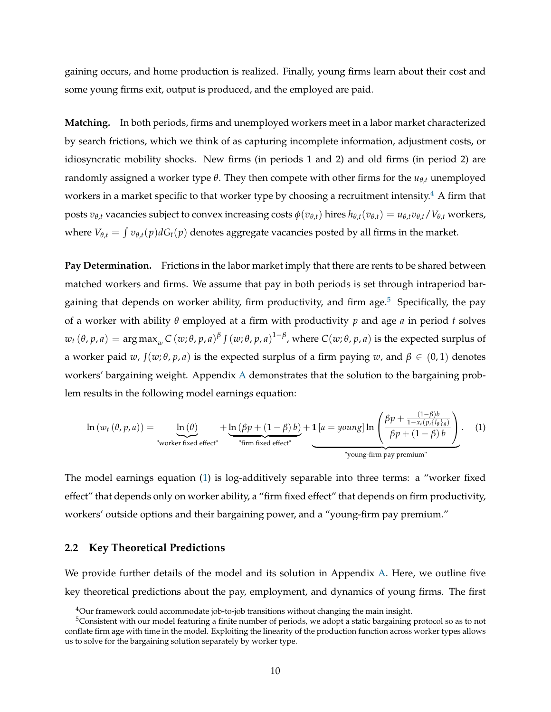gaining occurs, and home production is realized. Finally, young firms learn about their cost and some young firms exit, output is produced, and the employed are paid.

**Matching.** In both periods, firms and unemployed workers meet in a labor market characterized by search frictions, which we think of as capturing incomplete information, adjustment costs, or idiosyncratic mobility shocks. New firms (in periods 1 and 2) and old firms (in period 2) are randomly assigned a worker type *θ*. They then compete with other firms for the  $u_{θ,t}$  unemployed workers in a market specific to that worker type by choosing a recruitment intensity.<sup>4</sup> A firm that posts  $v_{\theta,t}$  vacancies subject to convex increasing costs  $\phi(v_{\theta,t})$  hires  $h_{\theta,t}(v_{\theta,t}) = u_{\theta,t}v_{\theta,t}/V_{\theta,t}$  workers, where  $V_{\theta,t} = \int v_{\theta,t}(p) dG_t(p)$  denotes aggregate vacancies posted by all firms in the market.

**Pay Determination.** Frictions in the labor market imply that there are rents to be shared between matched workers and firms. We assume that pay in both periods is set through intraperiod bargaining that depends on worker ability, firm productivity, and firm age.<sup>5</sup> Specifically, the pay of a worker with ability *θ* employed at a firm with productivity *p* and age *a* in period *t* solves  $w_t(\theta,p,a)=\argmax_w C(w;\theta,p,a)^{\beta}$  *J*  $(w;\theta,p,a)^{1-\beta}$ , where  $C(w;\theta,p,a)$  is the expected surplus of a worker paid *w*,  $J(w; \theta, p, a)$  is the expected surplus of a firm paying *w*, and  $\beta \in (0, 1)$  denotes workers' bargaining weight. Appendix A demonstrates that the solution to the bargaining problem results in the following model earnings equation:

$$
\ln(w_t(\theta, p, a)) = \underbrace{\ln(\theta)}_{\text{"worker fixed effect"}} + \underbrace{\ln(\beta p + (1 - \beta) b)}_{\text{"firm fixed effect"}} + \underbrace{\mathbf{1}[a = young] \ln \left(\frac{\beta p + \frac{(1 - \beta)b}{1 - x_t(p, \{l_\theta\}_\theta)}}{\beta p + (1 - \beta) b}\right)}_{\text{"young-firm pay premium"}}.
$$
 (1)

The model earnings equation (1) is log-additively separable into three terms: a "worker fixed effect" that depends only on worker ability, a "firm fixed effect" that depends on firm productivity, workers' outside options and their bargaining power, and a "young-firm pay premium."

# **2.2 Key Theoretical Predictions**

We provide further details of the model and its solution in Appendix A. Here, we outline five key theoretical predictions about the pay, employment, and dynamics of young firms. The first

<sup>&</sup>lt;sup>4</sup>Our framework could accommodate job-to-job transitions without changing the main insight.

<sup>5</sup>Consistent with our model featuring a finite number of periods, we adopt a static bargaining protocol so as to not conflate firm age with time in the model. Exploiting the linearity of the production function across worker types allows us to solve for the bargaining solution separately by worker type.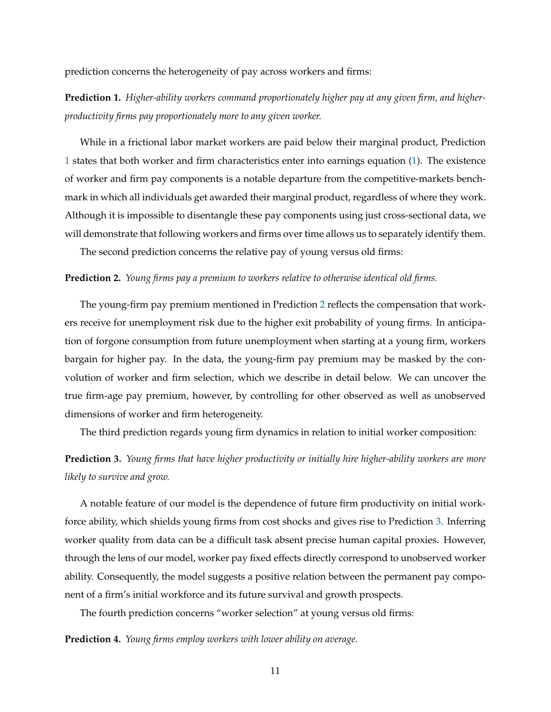prediction concerns the heterogeneity of pay across workers and firms:

**Prediction 1.** *Higher-ability workers command proportionately higher pay at any given firm, and higherproductivity firms pay proportionately more to any given worker.*

While in a frictional labor market workers are paid below their marginal product, Prediction 1 states that both worker and firm characteristics enter into earnings equation (1). The existence of worker and firm pay components is a notable departure from the competitive-markets benchmark in which all individuals get awarded their marginal product, regardless of where they work. Although it is impossible to disentangle these pay components using just cross-sectional data, we will demonstrate that following workers and firms over time allows us to separately identify them.

The second prediction concerns the relative pay of young versus old firms:

### **Prediction 2.** *Young firms pay a premium to workers relative to otherwise identical old firms.*

The young-firm pay premium mentioned in Prediction 2 reflects the compensation that workers receive for unemployment risk due to the higher exit probability of young firms. In anticipation of forgone consumption from future unemployment when starting at a young firm, workers bargain for higher pay. In the data, the young-firm pay premium may be masked by the convolution of worker and firm selection, which we describe in detail below. We can uncover the true firm-age pay premium, however, by controlling for other observed as well as unobserved dimensions of worker and firm heterogeneity.

The third prediction regards young firm dynamics in relation to initial worker composition:

# **Prediction 3.** *Young firms that have higher productivity or initially hire higher-ability workers are more likely to survive and grow.*

A notable feature of our model is the dependence of future firm productivity on initial workforce ability, which shields young firms from cost shocks and gives rise to Prediction 3. Inferring worker quality from data can be a difficult task absent precise human capital proxies. However, through the lens of our model, worker pay fixed effects directly correspond to unobserved worker ability. Consequently, the model suggests a positive relation between the permanent pay component of a firm's initial workforce and its future survival and growth prospects.

The fourth prediction concerns "worker selection" at young versus old firms:

## **Prediction 4.** *Young firms employ workers with lower ability on average.*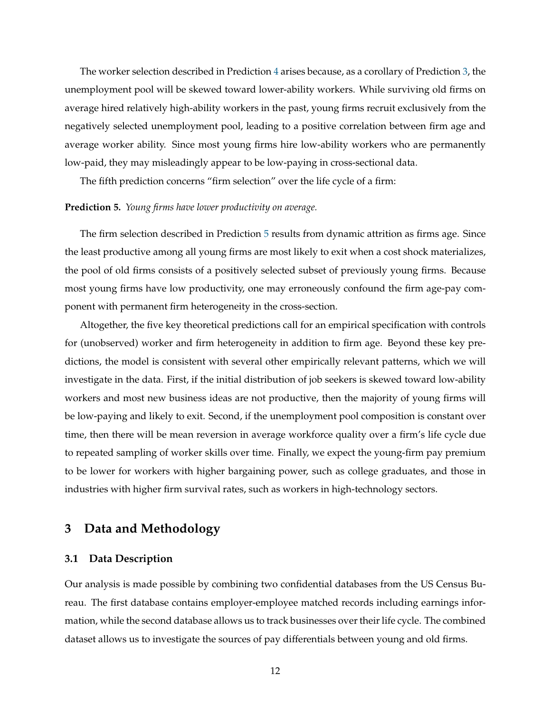The worker selection described in Prediction 4 arises because, as a corollary of Prediction 3, the unemployment pool will be skewed toward lower-ability workers. While surviving old firms on average hired relatively high-ability workers in the past, young firms recruit exclusively from the negatively selected unemployment pool, leading to a positive correlation between firm age and average worker ability. Since most young firms hire low-ability workers who are permanently low-paid, they may misleadingly appear to be low-paying in cross-sectional data.

The fifth prediction concerns "firm selection" over the life cycle of a firm:

## **Prediction 5.** *Young firms have lower productivity on average.*

The firm selection described in Prediction 5 results from dynamic attrition as firms age. Since the least productive among all young firms are most likely to exit when a cost shock materializes, the pool of old firms consists of a positively selected subset of previously young firms. Because most young firms have low productivity, one may erroneously confound the firm age-pay component with permanent firm heterogeneity in the cross-section.

Altogether, the five key theoretical predictions call for an empirical specification with controls for (unobserved) worker and firm heterogeneity in addition to firm age. Beyond these key predictions, the model is consistent with several other empirically relevant patterns, which we will investigate in the data. First, if the initial distribution of job seekers is skewed toward low-ability workers and most new business ideas are not productive, then the majority of young firms will be low-paying and likely to exit. Second, if the unemployment pool composition is constant over time, then there will be mean reversion in average workforce quality over a firm's life cycle due to repeated sampling of worker skills over time. Finally, we expect the young-firm pay premium to be lower for workers with higher bargaining power, such as college graduates, and those in industries with higher firm survival rates, such as workers in high-technology sectors.

# **3 Data and Methodology**

# **3.1 Data Description**

Our analysis is made possible by combining two confidential databases from the US Census Bureau. The first database contains employer-employee matched records including earnings information, while the second database allows us to track businesses over their life cycle. The combined dataset allows us to investigate the sources of pay differentials between young and old firms.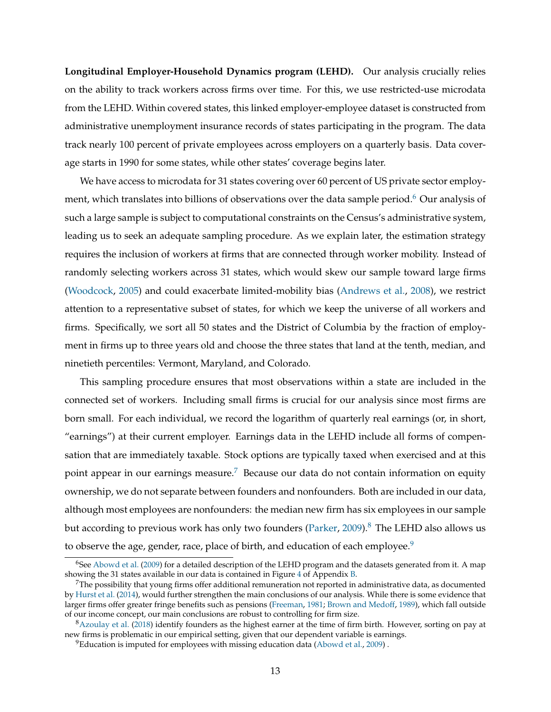**Longitudinal Employer-Household Dynamics program (LEHD).** Our analysis crucially relies on the ability to track workers across firms over time. For this, we use restricted-use microdata from the LEHD. Within covered states, this linked employer-employee dataset is constructed from administrative unemployment insurance records of states participating in the program. The data track nearly 100 percent of private employees across employers on a quarterly basis. Data coverage starts in 1990 for some states, while other states' coverage begins later.

We have access to microdata for 31 states covering over 60 percent of US private sector employment, which translates into billions of observations over the data sample period. $6$  Our analysis of such a large sample is subject to computational constraints on the Census's administrative system, leading us to seek an adequate sampling procedure. As we explain later, the estimation strategy requires the inclusion of workers at firms that are connected through worker mobility. Instead of randomly selecting workers across 31 states, which would skew our sample toward large firms (Woodcock, 2005) and could exacerbate limited-mobility bias (Andrews et al., 2008), we restrict attention to a representative subset of states, for which we keep the universe of all workers and firms. Specifically, we sort all 50 states and the District of Columbia by the fraction of employment in firms up to three years old and choose the three states that land at the tenth, median, and ninetieth percentiles: Vermont, Maryland, and Colorado.

This sampling procedure ensures that most observations within a state are included in the connected set of workers. Including small firms is crucial for our analysis since most firms are born small. For each individual, we record the logarithm of quarterly real earnings (or, in short, "earnings") at their current employer. Earnings data in the LEHD include all forms of compensation that are immediately taxable. Stock options are typically taxed when exercised and at this point appear in our earnings measure.<sup>7</sup> Because our data do not contain information on equity ownership, we do not separate between founders and nonfounders. Both are included in our data, although most employees are nonfounders: the median new firm has six employees in our sample but according to previous work has only two founders (Parker, 2009).<sup>8</sup> The LEHD also allows us to observe the age, gender, race, place of birth, and education of each employee. $9$ 

<sup>&</sup>lt;sup>6</sup>See Abowd et al. (2009) for a detailed description of the LEHD program and the datasets generated from it. A map showing the 31 states available in our data is contained in Figure 4 of Appendix B.

 $7$ The possibility that young firms offer additional remuneration not reported in administrative data, as documented by Hurst et al. (2014), would further strengthen the main conclusions of our analysis. While there is some evidence that larger firms offer greater fringe benefits such as pensions (Freeman, 1981; Brown and Medoff, 1989), which fall outside of our income concept, our main conclusions are robust to controlling for firm size.

 $8$ Azoulay et al. (2018) identify founders as the highest earner at the time of firm birth. However, sorting on pay at new firms is problematic in our empirical setting, given that our dependent variable is earnings.

<sup>&</sup>lt;sup>9</sup>Education is imputed for employees with missing education data (Abowd et al., 2009).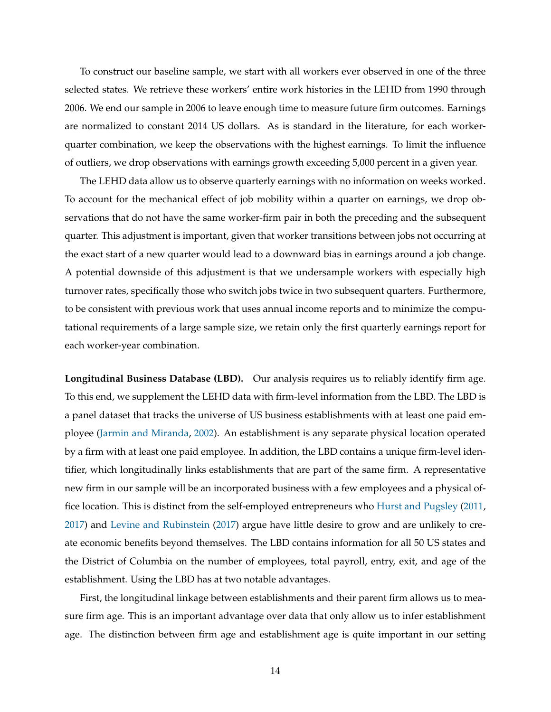To construct our baseline sample, we start with all workers ever observed in one of the three selected states. We retrieve these workers' entire work histories in the LEHD from 1990 through 2006. We end our sample in 2006 to leave enough time to measure future firm outcomes. Earnings are normalized to constant 2014 US dollars. As is standard in the literature, for each workerquarter combination, we keep the observations with the highest earnings. To limit the influence of outliers, we drop observations with earnings growth exceeding 5,000 percent in a given year.

The LEHD data allow us to observe quarterly earnings with no information on weeks worked. To account for the mechanical effect of job mobility within a quarter on earnings, we drop observations that do not have the same worker-firm pair in both the preceding and the subsequent quarter. This adjustment is important, given that worker transitions between jobs not occurring at the exact start of a new quarter would lead to a downward bias in earnings around a job change. A potential downside of this adjustment is that we undersample workers with especially high turnover rates, specifically those who switch jobs twice in two subsequent quarters. Furthermore, to be consistent with previous work that uses annual income reports and to minimize the computational requirements of a large sample size, we retain only the first quarterly earnings report for each worker-year combination.

**Longitudinal Business Database (LBD).** Our analysis requires us to reliably identify firm age. To this end, we supplement the LEHD data with firm-level information from the LBD. The LBD is a panel dataset that tracks the universe of US business establishments with at least one paid employee (Jarmin and Miranda, 2002). An establishment is any separate physical location operated by a firm with at least one paid employee. In addition, the LBD contains a unique firm-level identifier, which longitudinally links establishments that are part of the same firm. A representative new firm in our sample will be an incorporated business with a few employees and a physical office location. This is distinct from the self-employed entrepreneurs who Hurst and Pugsley (2011, 2017) and Levine and Rubinstein (2017) argue have little desire to grow and are unlikely to create economic benefits beyond themselves. The LBD contains information for all 50 US states and the District of Columbia on the number of employees, total payroll, entry, exit, and age of the establishment. Using the LBD has at two notable advantages.

First, the longitudinal linkage between establishments and their parent firm allows us to measure firm age. This is an important advantage over data that only allow us to infer establishment age. The distinction between firm age and establishment age is quite important in our setting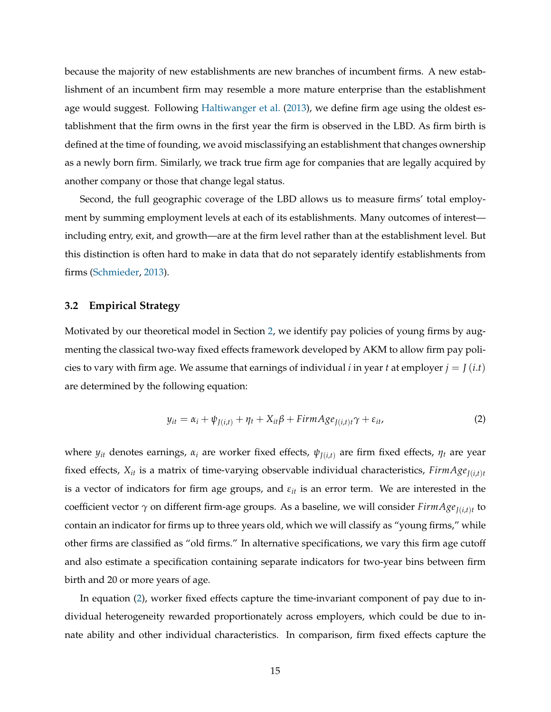because the majority of new establishments are new branches of incumbent firms. A new establishment of an incumbent firm may resemble a more mature enterprise than the establishment age would suggest. Following Haltiwanger et al. (2013), we define firm age using the oldest establishment that the firm owns in the first year the firm is observed in the LBD. As firm birth is defined at the time of founding, we avoid misclassifying an establishment that changes ownership as a newly born firm. Similarly, we track true firm age for companies that are legally acquired by another company or those that change legal status.

Second, the full geographic coverage of the LBD allows us to measure firms' total employment by summing employment levels at each of its establishments. Many outcomes of interest including entry, exit, and growth—are at the firm level rather than at the establishment level. But this distinction is often hard to make in data that do not separately identify establishments from firms (Schmieder, 2013).

## **3.2 Empirical Strategy**

Motivated by our theoretical model in Section 2, we identify pay policies of young firms by augmenting the classical two-way fixed effects framework developed by AKM to allow firm pay policies to vary with firm age. We assume that earnings of individual *i* in year *t* at employer  $j = J(i.t)$ are determined by the following equation:

$$
y_{it} = \alpha_i + \psi_{J(i,t)} + \eta_t + X_{it}\beta + \text{Firm}Age_{J(i,t)t}\gamma + \varepsilon_{it}, \tag{2}
$$

where  $y_{it}$  denotes earnings,  $\alpha_i$  are worker fixed effects,  $\psi_{J(i,t)}$  are firm fixed effects,  $\eta_t$  are year fixed effects,  $X_{it}$  is a matrix of time-varying observable individual characteristics,  $FirmAge_{I(it, t}$ is a vector of indicators for firm age groups, and *εit* is an error term. We are interested in the coefficient vector *γ* on different firm-age groups. As a baseline, we will consider *FirmAgeJ*(*i*,*t*)*<sup>t</sup>* to contain an indicator for firms up to three years old, which we will classify as "young firms," while other firms are classified as "old firms." In alternative specifications, we vary this firm age cutoff and also estimate a specification containing separate indicators for two-year bins between firm birth and 20 or more years of age.

In equation (2), worker fixed effects capture the time-invariant component of pay due to individual heterogeneity rewarded proportionately across employers, which could be due to innate ability and other individual characteristics. In comparison, firm fixed effects capture the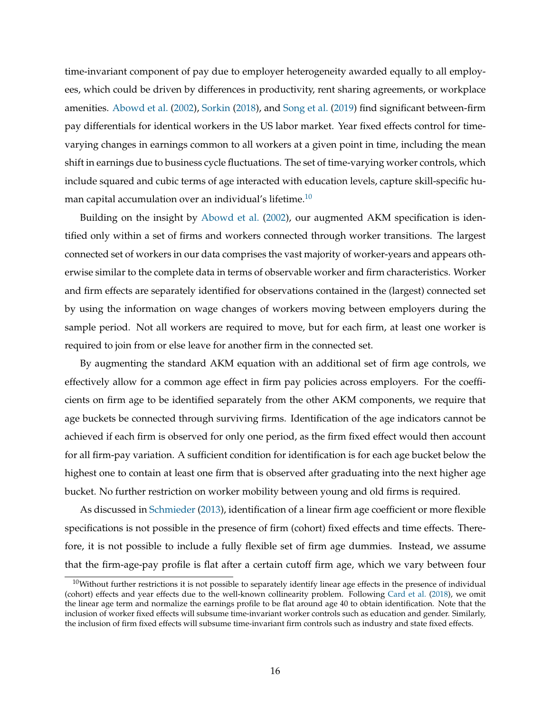time-invariant component of pay due to employer heterogeneity awarded equally to all employees, which could be driven by differences in productivity, rent sharing agreements, or workplace amenities. Abowd et al. (2002), Sorkin (2018), and Song et al. (2019) find significant between-firm pay differentials for identical workers in the US labor market. Year fixed effects control for timevarying changes in earnings common to all workers at a given point in time, including the mean shift in earnings due to business cycle fluctuations. The set of time-varying worker controls, which include squared and cubic terms of age interacted with education levels, capture skill-specific human capital accumulation over an individual's lifetime.<sup>10</sup>

Building on the insight by Abowd et al. (2002), our augmented AKM specification is identified only within a set of firms and workers connected through worker transitions. The largest connected set of workers in our data comprises the vast majority of worker-years and appears otherwise similar to the complete data in terms of observable worker and firm characteristics. Worker and firm effects are separately identified for observations contained in the (largest) connected set by using the information on wage changes of workers moving between employers during the sample period. Not all workers are required to move, but for each firm, at least one worker is required to join from or else leave for another firm in the connected set.

By augmenting the standard AKM equation with an additional set of firm age controls, we effectively allow for a common age effect in firm pay policies across employers. For the coefficients on firm age to be identified separately from the other AKM components, we require that age buckets be connected through surviving firms. Identification of the age indicators cannot be achieved if each firm is observed for only one period, as the firm fixed effect would then account for all firm-pay variation. A sufficient condition for identification is for each age bucket below the highest one to contain at least one firm that is observed after graduating into the next higher age bucket. No further restriction on worker mobility between young and old firms is required.

As discussed in Schmieder (2013), identification of a linear firm age coefficient or more flexible specifications is not possible in the presence of firm (cohort) fixed effects and time effects. Therefore, it is not possible to include a fully flexible set of firm age dummies. Instead, we assume that the firm-age-pay profile is flat after a certain cutoff firm age, which we vary between four

 $10$ Without further restrictions it is not possible to separately identify linear age effects in the presence of individual (cohort) effects and year effects due to the well-known collinearity problem. Following Card et al. (2018), we omit the linear age term and normalize the earnings profile to be flat around age 40 to obtain identification. Note that the inclusion of worker fixed effects will subsume time-invariant worker controls such as education and gender. Similarly, the inclusion of firm fixed effects will subsume time-invariant firm controls such as industry and state fixed effects.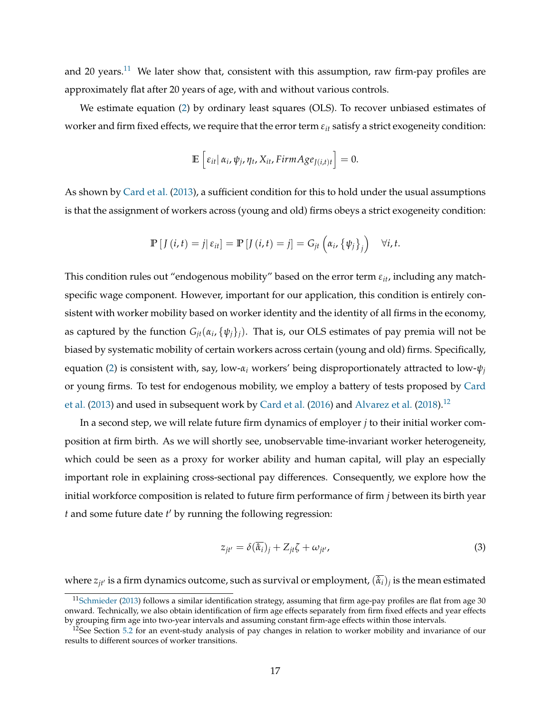and 20 years.<sup>11</sup> We later show that, consistent with this assumption, raw firm-pay profiles are approximately flat after 20 years of age, with and without various controls.

We estimate equation (2) by ordinary least squares (OLS). To recover unbiased estimates of worker and firm fixed effects, we require that the error term  $\varepsilon_{it}$  satisfy a strict exogeneity condition:

$$
\mathbb{E}\left[\varepsilon_{it}|\,\alpha_i,\psi_j,\eta_t,X_{it},FirmAge_{J(i,t)t}\right]=0.
$$

As shown by Card et al. (2013), a sufficient condition for this to hold under the usual assumptions is that the assignment of workers across (young and old) firms obeys a strict exogeneity condition:

$$
\mathbb{P}\left[J\left(i,t\right)=j|\,\varepsilon_{it}\right]=\mathbb{P}\left[J\left(i,t\right)=j\right]=G_{jt}\left(\alpha_i,\left\{\psi_j\right\}_j\right)\quad\forall i,t.
$$

This condition rules out "endogenous mobility" based on the error term *εit*, including any matchspecific wage component. However, important for our application, this condition is entirely consistent with worker mobility based on worker identity and the identity of all firms in the economy, as captured by the function *Gjt*(*α<sup>i</sup>* , {*ψj*}*j*). That is, our OLS estimates of pay premia will not be biased by systematic mobility of certain workers across certain (young and old) firms. Specifically, equation (2) is consistent with, say, low- $\alpha$ <sup>*i*</sup> workers' being disproportionately attracted to low- $\psi$ *<sub>j</sub>* or young firms. To test for endogenous mobility, we employ a battery of tests proposed by Card et al. (2013) and used in subsequent work by Card et al. (2016) and Alvarez et al. (2018).<sup>12</sup>

In a second step, we will relate future firm dynamics of employer *j* to their initial worker composition at firm birth. As we will shortly see, unobservable time-invariant worker heterogeneity, which could be seen as a proxy for worker ability and human capital, will play an especially important role in explaining cross-sectional pay differences. Consequently, we explore how the initial workforce composition is related to future firm performance of firm *j* between its birth year *t* and some future date *t* ′ by running the following regression:

$$
z_{jt'} = \delta(\overline{\hat{\alpha}_i})_j + Z_{jt}\zeta + \omega_{jt'},
$$
\n(3)

where  $z_{jt'}$  is a firm dynamics outcome, such as survival or employment,  $(\hat{\alpha}_i)_j$  is the mean estimated

 $11$ Schmieder (2013) follows a similar identification strategy, assuming that firm age-pay profiles are flat from age 30 onward. Technically, we also obtain identification of firm age effects separately from firm fixed effects and year effects by grouping firm age into two-year intervals and assuming constant firm-age effects within those intervals.

 $12$ See Section 5.2 for an event-study analysis of pay changes in relation to worker mobility and invariance of our results to different sources of worker transitions.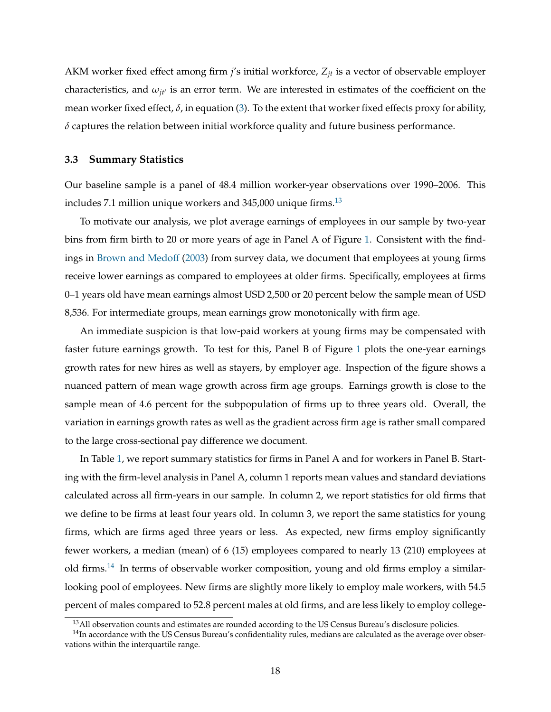AKM worker fixed effect among firm *j*'s initial workforce, *Zjt* is a vector of observable employer characteristics, and  $\omega_{it'}$  is an error term. We are interested in estimates of the coefficient on the mean worker fixed effect, *δ*, in equation (3). To the extent that worker fixed effects proxy for ability, *δ* captures the relation between initial workforce quality and future business performance.

#### **3.3 Summary Statistics**

Our baseline sample is a panel of 48.4 million worker-year observations over 1990–2006. This includes 7.1 million unique workers and  $345,000$  unique firms.<sup>13</sup>

To motivate our analysis, we plot average earnings of employees in our sample by two-year bins from firm birth to 20 or more years of age in Panel A of Figure 1. Consistent with the findings in Brown and Medoff (2003) from survey data, we document that employees at young firms receive lower earnings as compared to employees at older firms. Specifically, employees at firms 0–1 years old have mean earnings almost USD 2,500 or 20 percent below the sample mean of USD 8,536. For intermediate groups, mean earnings grow monotonically with firm age.

An immediate suspicion is that low-paid workers at young firms may be compensated with faster future earnings growth. To test for this, Panel B of Figure 1 plots the one-year earnings growth rates for new hires as well as stayers, by employer age. Inspection of the figure shows a nuanced pattern of mean wage growth across firm age groups. Earnings growth is close to the sample mean of 4.6 percent for the subpopulation of firms up to three years old. Overall, the variation in earnings growth rates as well as the gradient across firm age is rather small compared to the large cross-sectional pay difference we document.

In Table 1, we report summary statistics for firms in Panel A and for workers in Panel B. Starting with the firm-level analysis in Panel A, column 1 reports mean values and standard deviations calculated across all firm-years in our sample. In column 2, we report statistics for old firms that we define to be firms at least four years old. In column 3, we report the same statistics for young firms, which are firms aged three years or less. As expected, new firms employ significantly fewer workers, a median (mean) of 6 (15) employees compared to nearly 13 (210) employees at old firms.<sup>14</sup> In terms of observable worker composition, young and old firms employ a similarlooking pool of employees. New firms are slightly more likely to employ male workers, with 54.5 percent of males compared to 52.8 percent males at old firms, and are less likely to employ college-

<sup>&</sup>lt;sup>13</sup> All observation counts and estimates are rounded according to the US Census Bureau's disclosure policies.

 $14$ In accordance with the US Census Bureau's confidentiality rules, medians are calculated as the average over observations within the interquartile range.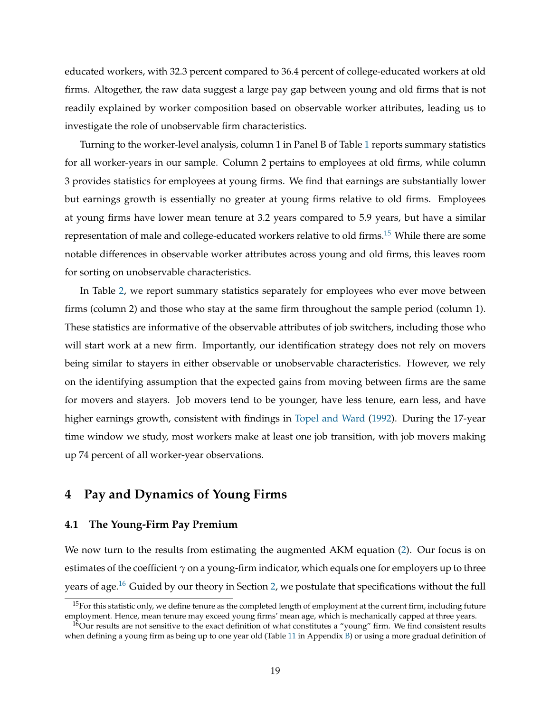educated workers, with 32.3 percent compared to 36.4 percent of college-educated workers at old firms. Altogether, the raw data suggest a large pay gap between young and old firms that is not readily explained by worker composition based on observable worker attributes, leading us to investigate the role of unobservable firm characteristics.

Turning to the worker-level analysis, column 1 in Panel B of Table 1 reports summary statistics for all worker-years in our sample. Column 2 pertains to employees at old firms, while column 3 provides statistics for employees at young firms. We find that earnings are substantially lower but earnings growth is essentially no greater at young firms relative to old firms. Employees at young firms have lower mean tenure at 3.2 years compared to 5.9 years, but have a similar representation of male and college-educated workers relative to old firms.<sup>15</sup> While there are some notable differences in observable worker attributes across young and old firms, this leaves room for sorting on unobservable characteristics.

In Table 2, we report summary statistics separately for employees who ever move between firms (column 2) and those who stay at the same firm throughout the sample period (column 1). These statistics are informative of the observable attributes of job switchers, including those who will start work at a new firm. Importantly, our identification strategy does not rely on movers being similar to stayers in either observable or unobservable characteristics. However, we rely on the identifying assumption that the expected gains from moving between firms are the same for movers and stayers. Job movers tend to be younger, have less tenure, earn less, and have higher earnings growth, consistent with findings in Topel and Ward (1992). During the 17-year time window we study, most workers make at least one job transition, with job movers making up 74 percent of all worker-year observations.

# **4 Pay and Dynamics of Young Firms**

# **4.1 The Young-Firm Pay Premium**

We now turn to the results from estimating the augmented AKM equation (2). Our focus is on estimates of the coefficient *γ* on a young-firm indicator, which equals one for employers up to three years of age.<sup>16</sup> Guided by our theory in Section 2, we postulate that specifications without the full

 $15$ For this statistic only, we define tenure as the completed length of employment at the current firm, including future employment. Hence, mean tenure may exceed young firms' mean age, which is mechanically capped at three years.

 $16$ Our results are not sensitive to the exact definition of what constitutes a "young" firm. We find consistent results when defining a young firm as being up to one year old (Table 11 in Appendix B) or using a more gradual definition of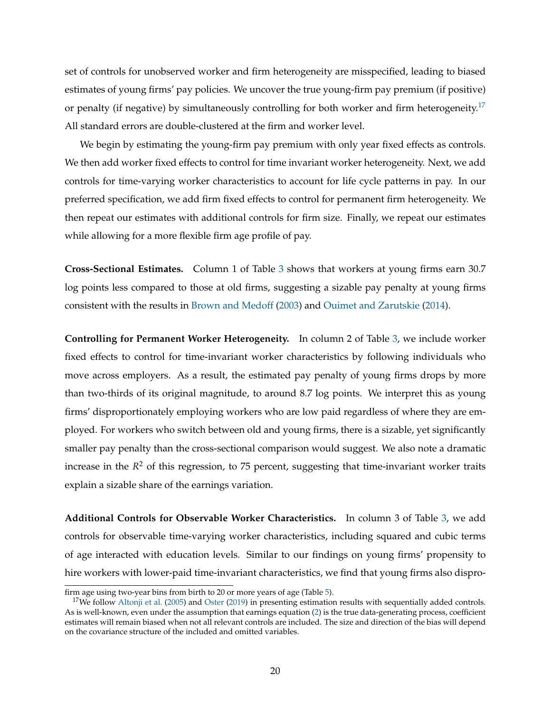set of controls for unobserved worker and firm heterogeneity are misspecified, leading to biased estimates of young firms' pay policies. We uncover the true young-firm pay premium (if positive) or penalty (if negative) by simultaneously controlling for both worker and firm heterogeneity.<sup>17</sup> All standard errors are double-clustered at the firm and worker level.

We begin by estimating the young-firm pay premium with only year fixed effects as controls. We then add worker fixed effects to control for time invariant worker heterogeneity. Next, we add controls for time-varying worker characteristics to account for life cycle patterns in pay. In our preferred specification, we add firm fixed effects to control for permanent firm heterogeneity. We then repeat our estimates with additional controls for firm size. Finally, we repeat our estimates while allowing for a more flexible firm age profile of pay.

**Cross-Sectional Estimates.** Column 1 of Table 3 shows that workers at young firms earn 30.7 log points less compared to those at old firms, suggesting a sizable pay penalty at young firms consistent with the results in Brown and Medoff (2003) and Ouimet and Zarutskie (2014).

**Controlling for Permanent Worker Heterogeneity.** In column 2 of Table 3, we include worker fixed effects to control for time-invariant worker characteristics by following individuals who move across employers. As a result, the estimated pay penalty of young firms drops by more than two-thirds of its original magnitude, to around 8.7 log points. We interpret this as young firms' disproportionately employing workers who are low paid regardless of where they are employed. For workers who switch between old and young firms, there is a sizable, yet significantly smaller pay penalty than the cross-sectional comparison would suggest. We also note a dramatic increase in the *R* <sup>2</sup> of this regression, to 75 percent, suggesting that time-invariant worker traits explain a sizable share of the earnings variation.

**Additional Controls for Observable Worker Characteristics.** In column 3 of Table 3, we add controls for observable time-varying worker characteristics, including squared and cubic terms of age interacted with education levels. Similar to our findings on young firms' propensity to hire workers with lower-paid time-invariant characteristics, we find that young firms also dispro-

firm age using two-year bins from birth to 20 or more years of age (Table 5).

<sup>&</sup>lt;sup>17</sup>We follow Altonji et al. (2005) and Oster (2019) in presenting estimation results with sequentially added controls. As is well-known, even under the assumption that earnings equation (2) is the true data-generating process, coefficient estimates will remain biased when not all relevant controls are included. The size and direction of the bias will depend on the covariance structure of the included and omitted variables.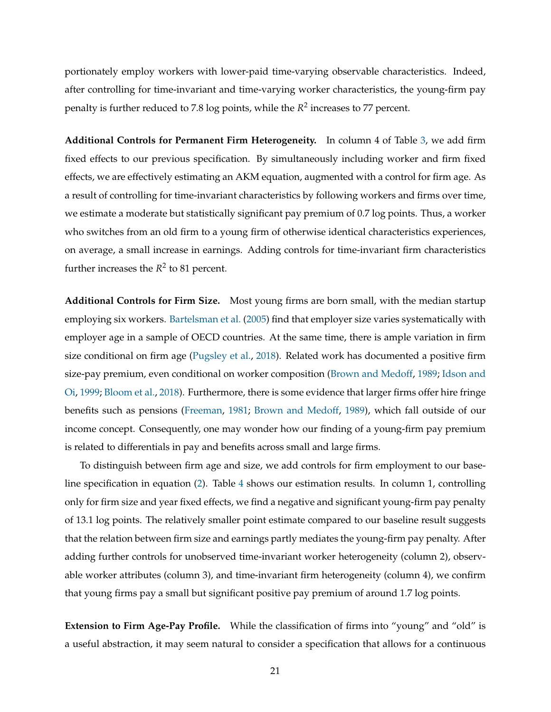portionately employ workers with lower-paid time-varying observable characteristics. Indeed, after controlling for time-invariant and time-varying worker characteristics, the young-firm pay penalty is further reduced to 7.8 log points, while the *R* 2 increases to 77 percent.

**Additional Controls for Permanent Firm Heterogeneity.** In column 4 of Table 3, we add firm fixed effects to our previous specification. By simultaneously including worker and firm fixed effects, we are effectively estimating an AKM equation, augmented with a control for firm age. As a result of controlling for time-invariant characteristics by following workers and firms over time, we estimate a moderate but statistically significant pay premium of 0.7 log points. Thus, a worker who switches from an old firm to a young firm of otherwise identical characteristics experiences, on average, a small increase in earnings. Adding controls for time-invariant firm characteristics further increases the  $R^2$  to 81 percent.

**Additional Controls for Firm Size.** Most young firms are born small, with the median startup employing six workers. Bartelsman et al. (2005) find that employer size varies systematically with employer age in a sample of OECD countries. At the same time, there is ample variation in firm size conditional on firm age (Pugsley et al., 2018). Related work has documented a positive firm size-pay premium, even conditional on worker composition (Brown and Medoff, 1989; Idson and Oi, 1999; Bloom et al., 2018). Furthermore, there is some evidence that larger firms offer hire fringe benefits such as pensions (Freeman, 1981; Brown and Medoff, 1989), which fall outside of our income concept. Consequently, one may wonder how our finding of a young-firm pay premium is related to differentials in pay and benefits across small and large firms.

To distinguish between firm age and size, we add controls for firm employment to our baseline specification in equation (2). Table 4 shows our estimation results. In column 1, controlling only for firm size and year fixed effects, we find a negative and significant young-firm pay penalty of 13.1 log points. The relatively smaller point estimate compared to our baseline result suggests that the relation between firm size and earnings partly mediates the young-firm pay penalty. After adding further controls for unobserved time-invariant worker heterogeneity (column 2), observable worker attributes (column 3), and time-invariant firm heterogeneity (column 4), we confirm that young firms pay a small but significant positive pay premium of around 1.7 log points.

**Extension to Firm Age-Pay Profile.** While the classification of firms into "young" and "old" is a useful abstraction, it may seem natural to consider a specification that allows for a continuous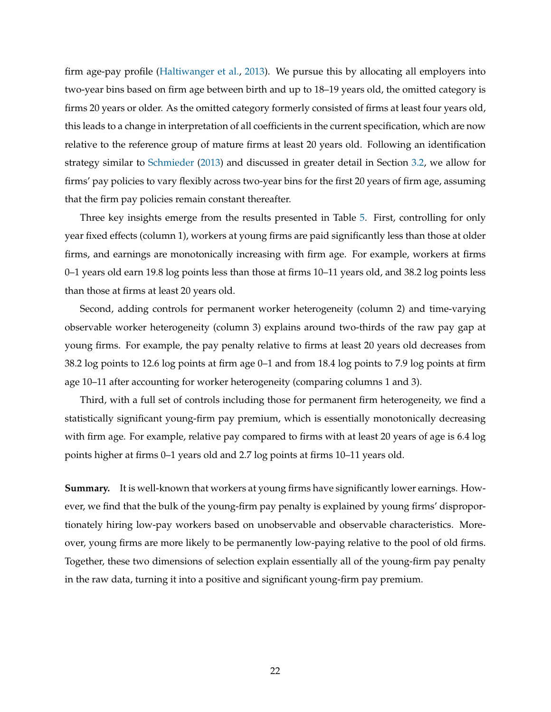firm age-pay profile (Haltiwanger et al., 2013). We pursue this by allocating all employers into two-year bins based on firm age between birth and up to 18–19 years old, the omitted category is firms 20 years or older. As the omitted category formerly consisted of firms at least four years old, this leads to a change in interpretation of all coefficients in the current specification, which are now relative to the reference group of mature firms at least 20 years old. Following an identification strategy similar to Schmieder (2013) and discussed in greater detail in Section 3.2, we allow for firms' pay policies to vary flexibly across two-year bins for the first 20 years of firm age, assuming that the firm pay policies remain constant thereafter.

Three key insights emerge from the results presented in Table 5. First, controlling for only year fixed effects (column 1), workers at young firms are paid significantly less than those at older firms, and earnings are monotonically increasing with firm age. For example, workers at firms 0–1 years old earn 19.8 log points less than those at firms 10–11 years old, and 38.2 log points less than those at firms at least 20 years old.

Second, adding controls for permanent worker heterogeneity (column 2) and time-varying observable worker heterogeneity (column 3) explains around two-thirds of the raw pay gap at young firms. For example, the pay penalty relative to firms at least 20 years old decreases from 38.2 log points to 12.6 log points at firm age 0–1 and from 18.4 log points to 7.9 log points at firm age 10–11 after accounting for worker heterogeneity (comparing columns 1 and 3).

Third, with a full set of controls including those for permanent firm heterogeneity, we find a statistically significant young-firm pay premium, which is essentially monotonically decreasing with firm age. For example, relative pay compared to firms with at least 20 years of age is 6.4 log points higher at firms 0–1 years old and 2.7 log points at firms 10–11 years old.

**Summary.** It is well-known that workers at young firms have significantly lower earnings. However, we find that the bulk of the young-firm pay penalty is explained by young firms' disproportionately hiring low-pay workers based on unobservable and observable characteristics. Moreover, young firms are more likely to be permanently low-paying relative to the pool of old firms. Together, these two dimensions of selection explain essentially all of the young-firm pay penalty in the raw data, turning it into a positive and significant young-firm pay premium.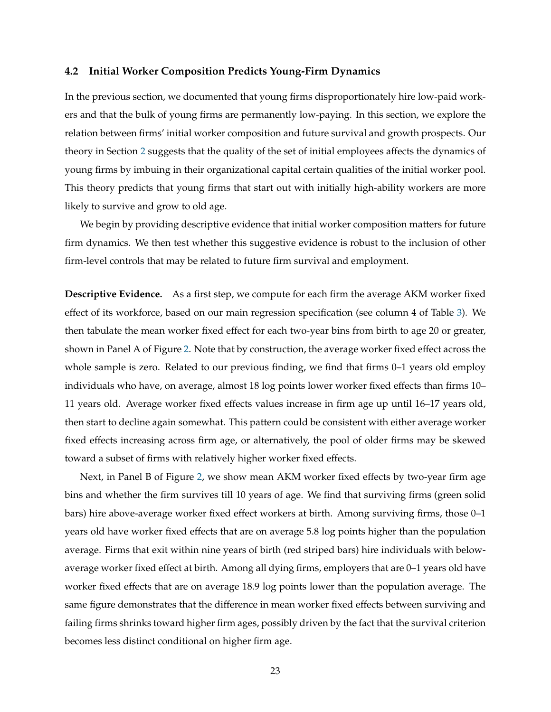### **4.2 Initial Worker Composition Predicts Young-Firm Dynamics**

In the previous section, we documented that young firms disproportionately hire low-paid workers and that the bulk of young firms are permanently low-paying. In this section, we explore the relation between firms' initial worker composition and future survival and growth prospects. Our theory in Section 2 suggests that the quality of the set of initial employees affects the dynamics of young firms by imbuing in their organizational capital certain qualities of the initial worker pool. This theory predicts that young firms that start out with initially high-ability workers are more likely to survive and grow to old age.

We begin by providing descriptive evidence that initial worker composition matters for future firm dynamics. We then test whether this suggestive evidence is robust to the inclusion of other firm-level controls that may be related to future firm survival and employment.

**Descriptive Evidence.** As a first step, we compute for each firm the average AKM worker fixed effect of its workforce, based on our main regression specification (see column 4 of Table 3). We then tabulate the mean worker fixed effect for each two-year bins from birth to age 20 or greater, shown in Panel A of Figure 2. Note that by construction, the average worker fixed effect across the whole sample is zero. Related to our previous finding, we find that firms 0–1 years old employ individuals who have, on average, almost 18 log points lower worker fixed effects than firms 10– 11 years old. Average worker fixed effects values increase in firm age up until 16–17 years old, then start to decline again somewhat. This pattern could be consistent with either average worker fixed effects increasing across firm age, or alternatively, the pool of older firms may be skewed toward a subset of firms with relatively higher worker fixed effects.

Next, in Panel B of Figure 2, we show mean AKM worker fixed effects by two-year firm age bins and whether the firm survives till 10 years of age. We find that surviving firms (green solid bars) hire above-average worker fixed effect workers at birth. Among surviving firms, those 0–1 years old have worker fixed effects that are on average 5.8 log points higher than the population average. Firms that exit within nine years of birth (red striped bars) hire individuals with belowaverage worker fixed effect at birth. Among all dying firms, employers that are 0–1 years old have worker fixed effects that are on average 18.9 log points lower than the population average. The same figure demonstrates that the difference in mean worker fixed effects between surviving and failing firms shrinks toward higher firm ages, possibly driven by the fact that the survival criterion becomes less distinct conditional on higher firm age.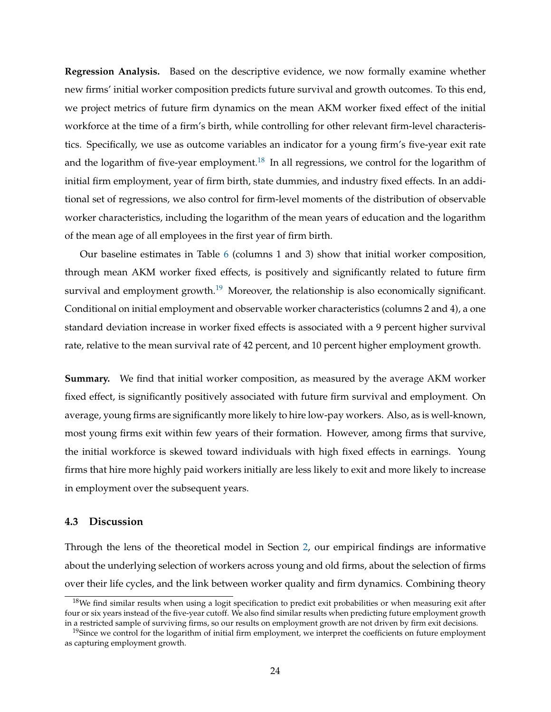**Regression Analysis.** Based on the descriptive evidence, we now formally examine whether new firms' initial worker composition predicts future survival and growth outcomes. To this end, we project metrics of future firm dynamics on the mean AKM worker fixed effect of the initial workforce at the time of a firm's birth, while controlling for other relevant firm-level characteristics. Specifically, we use as outcome variables an indicator for a young firm's five-year exit rate and the logarithm of five-year employment.<sup>18</sup> In all regressions, we control for the logarithm of initial firm employment, year of firm birth, state dummies, and industry fixed effects. In an additional set of regressions, we also control for firm-level moments of the distribution of observable worker characteristics, including the logarithm of the mean years of education and the logarithm of the mean age of all employees in the first year of firm birth.

Our baseline estimates in Table 6 (columns 1 and 3) show that initial worker composition, through mean AKM worker fixed effects, is positively and significantly related to future firm survival and employment growth.<sup>19</sup> Moreover, the relationship is also economically significant. Conditional on initial employment and observable worker characteristics (columns 2 and 4), a one standard deviation increase in worker fixed effects is associated with a 9 percent higher survival rate, relative to the mean survival rate of 42 percent, and 10 percent higher employment growth.

**Summary.** We find that initial worker composition, as measured by the average AKM worker fixed effect, is significantly positively associated with future firm survival and employment. On average, young firms are significantly more likely to hire low-pay workers. Also, as is well-known, most young firms exit within few years of their formation. However, among firms that survive, the initial workforce is skewed toward individuals with high fixed effects in earnings. Young firms that hire more highly paid workers initially are less likely to exit and more likely to increase in employment over the subsequent years.

### **4.3 Discussion**

Through the lens of the theoretical model in Section 2, our empirical findings are informative about the underlying selection of workers across young and old firms, about the selection of firms over their life cycles, and the link between worker quality and firm dynamics. Combining theory

 $18$ We find similar results when using a logit specification to predict exit probabilities or when measuring exit after four or six years instead of the five-year cutoff. We also find similar results when predicting future employment growth in a restricted sample of surviving firms, so our results on employment growth are not driven by firm exit decisions.

 $19$ Since we control for the logarithm of initial firm employment, we interpret the coefficients on future employment as capturing employment growth.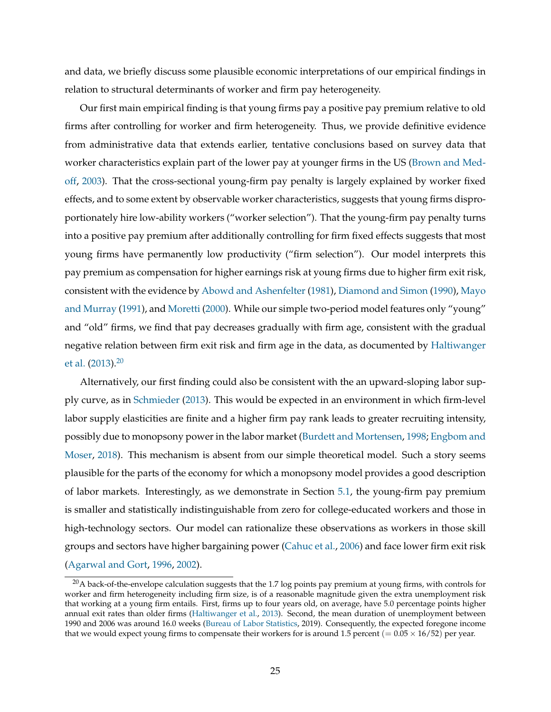and data, we briefly discuss some plausible economic interpretations of our empirical findings in relation to structural determinants of worker and firm pay heterogeneity.

Our first main empirical finding is that young firms pay a positive pay premium relative to old firms after controlling for worker and firm heterogeneity. Thus, we provide definitive evidence from administrative data that extends earlier, tentative conclusions based on survey data that worker characteristics explain part of the lower pay at younger firms in the US (Brown and Medoff, 2003). That the cross-sectional young-firm pay penalty is largely explained by worker fixed effects, and to some extent by observable worker characteristics, suggests that young firms disproportionately hire low-ability workers ("worker selection"). That the young-firm pay penalty turns into a positive pay premium after additionally controlling for firm fixed effects suggests that most young firms have permanently low productivity ("firm selection"). Our model interprets this pay premium as compensation for higher earnings risk at young firms due to higher firm exit risk, consistent with the evidence by Abowd and Ashenfelter (1981), Diamond and Simon (1990), Mayo and Murray (1991), and Moretti (2000). While our simple two-period model features only "young" and "old" firms, we find that pay decreases gradually with firm age, consistent with the gradual negative relation between firm exit risk and firm age in the data, as documented by Haltiwanger et al.  $(2013).^{20}$ 

Alternatively, our first finding could also be consistent with the an upward-sloping labor supply curve, as in Schmieder (2013). This would be expected in an environment in which firm-level labor supply elasticities are finite and a higher firm pay rank leads to greater recruiting intensity, possibly due to monopsony power in the labor market (Burdett and Mortensen, 1998; Engbom and Moser, 2018). This mechanism is absent from our simple theoretical model. Such a story seems plausible for the parts of the economy for which a monopsony model provides a good description of labor markets. Interestingly, as we demonstrate in Section 5.1, the young-firm pay premium is smaller and statistically indistinguishable from zero for college-educated workers and those in high-technology sectors. Our model can rationalize these observations as workers in those skill groups and sectors have higher bargaining power (Cahuc et al., 2006) and face lower firm exit risk (Agarwal and Gort, 1996, 2002).

 $20A$  back-of-the-envelope calculation suggests that the 1.7 log points pay premium at young firms, with controls for worker and firm heterogeneity including firm size, is of a reasonable magnitude given the extra unemployment risk that working at a young firm entails. First, firms up to four years old, on average, have 5.0 percentage points higher annual exit rates than older firms (Haltiwanger et al., 2013). Second, the mean duration of unemployment between 1990 and 2006 was around 16.0 weeks (Bureau of Labor Statistics, 2019). Consequently, the expected foregone income that we would expect young firms to compensate their workers for is around 1.5 percent  $(= 0.05 \times 16/52)$  per year.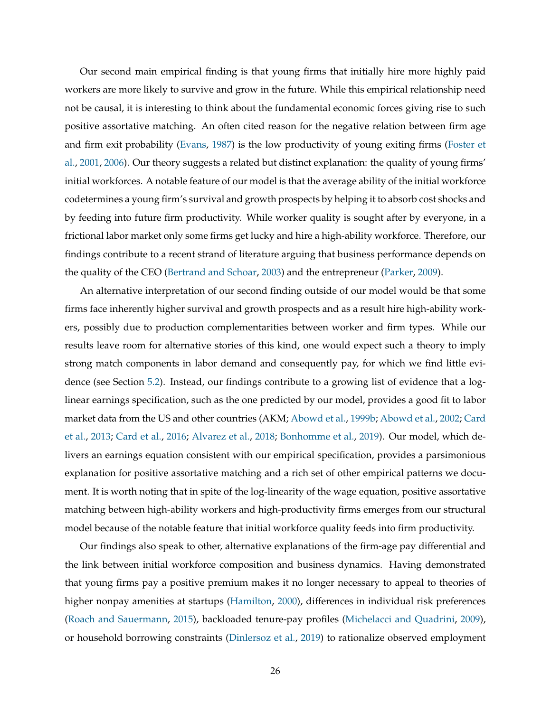Our second main empirical finding is that young firms that initially hire more highly paid workers are more likely to survive and grow in the future. While this empirical relationship need not be causal, it is interesting to think about the fundamental economic forces giving rise to such positive assortative matching. An often cited reason for the negative relation between firm age and firm exit probability (Evans, 1987) is the low productivity of young exiting firms (Foster et al., 2001, 2006). Our theory suggests a related but distinct explanation: the quality of young firms' initial workforces. A notable feature of our model is that the average ability of the initial workforce codetermines a young firm's survival and growth prospects by helping it to absorb cost shocks and by feeding into future firm productivity. While worker quality is sought after by everyone, in a frictional labor market only some firms get lucky and hire a high-ability workforce. Therefore, our findings contribute to a recent strand of literature arguing that business performance depends on the quality of the CEO (Bertrand and Schoar, 2003) and the entrepreneur (Parker, 2009).

An alternative interpretation of our second finding outside of our model would be that some firms face inherently higher survival and growth prospects and as a result hire high-ability workers, possibly due to production complementarities between worker and firm types. While our results leave room for alternative stories of this kind, one would expect such a theory to imply strong match components in labor demand and consequently pay, for which we find little evidence (see Section 5.2). Instead, our findings contribute to a growing list of evidence that a loglinear earnings specification, such as the one predicted by our model, provides a good fit to labor market data from the US and other countries (AKM; Abowd et al., 1999b; Abowd et al., 2002; Card et al., 2013; Card et al., 2016; Alvarez et al., 2018; Bonhomme et al., 2019). Our model, which delivers an earnings equation consistent with our empirical specification, provides a parsimonious explanation for positive assortative matching and a rich set of other empirical patterns we document. It is worth noting that in spite of the log-linearity of the wage equation, positive assortative matching between high-ability workers and high-productivity firms emerges from our structural model because of the notable feature that initial workforce quality feeds into firm productivity.

Our findings also speak to other, alternative explanations of the firm-age pay differential and the link between initial workforce composition and business dynamics. Having demonstrated that young firms pay a positive premium makes it no longer necessary to appeal to theories of higher nonpay amenities at startups (Hamilton, 2000), differences in individual risk preferences (Roach and Sauermann, 2015), backloaded tenure-pay profiles (Michelacci and Quadrini, 2009), or household borrowing constraints (Dinlersoz et al., 2019) to rationalize observed employment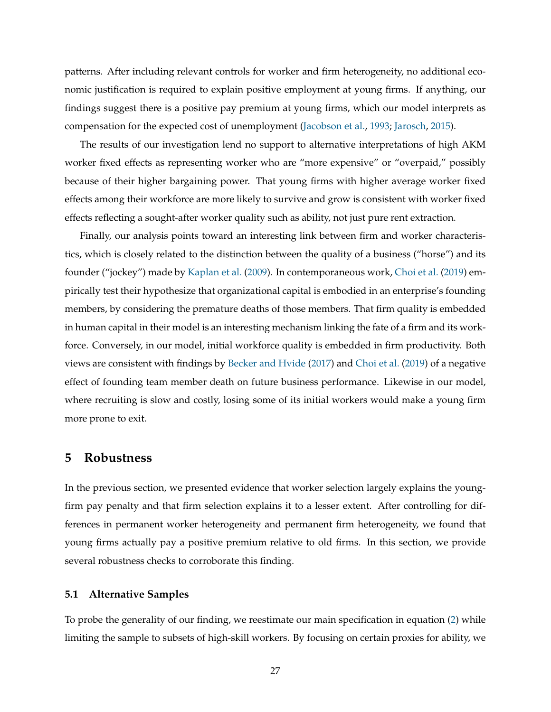patterns. After including relevant controls for worker and firm heterogeneity, no additional economic justification is required to explain positive employment at young firms. If anything, our findings suggest there is a positive pay premium at young firms, which our model interprets as compensation for the expected cost of unemployment (Jacobson et al., 1993; Jarosch, 2015).

The results of our investigation lend no support to alternative interpretations of high AKM worker fixed effects as representing worker who are "more expensive" or "overpaid," possibly because of their higher bargaining power. That young firms with higher average worker fixed effects among their workforce are more likely to survive and grow is consistent with worker fixed effects reflecting a sought-after worker quality such as ability, not just pure rent extraction.

Finally, our analysis points toward an interesting link between firm and worker characteristics, which is closely related to the distinction between the quality of a business ("horse") and its founder ("jockey") made by Kaplan et al. (2009). In contemporaneous work, Choi et al. (2019) empirically test their hypothesize that organizational capital is embodied in an enterprise's founding members, by considering the premature deaths of those members. That firm quality is embedded in human capital in their model is an interesting mechanism linking the fate of a firm and its workforce. Conversely, in our model, initial workforce quality is embedded in firm productivity. Both views are consistent with findings by Becker and Hvide (2017) and Choi et al. (2019) of a negative effect of founding team member death on future business performance. Likewise in our model, where recruiting is slow and costly, losing some of its initial workers would make a young firm more prone to exit.

# **5 Robustness**

In the previous section, we presented evidence that worker selection largely explains the youngfirm pay penalty and that firm selection explains it to a lesser extent. After controlling for differences in permanent worker heterogeneity and permanent firm heterogeneity, we found that young firms actually pay a positive premium relative to old firms. In this section, we provide several robustness checks to corroborate this finding.

# **5.1 Alternative Samples**

To probe the generality of our finding, we reestimate our main specification in equation (2) while limiting the sample to subsets of high-skill workers. By focusing on certain proxies for ability, we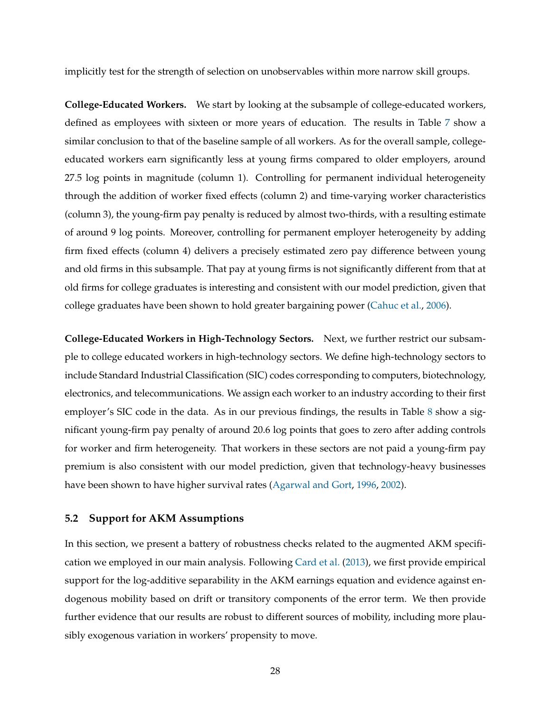implicitly test for the strength of selection on unobservables within more narrow skill groups.

**College-Educated Workers.** We start by looking at the subsample of college-educated workers, defined as employees with sixteen or more years of education. The results in Table 7 show a similar conclusion to that of the baseline sample of all workers. As for the overall sample, collegeeducated workers earn significantly less at young firms compared to older employers, around 27.5 log points in magnitude (column 1). Controlling for permanent individual heterogeneity through the addition of worker fixed effects (column 2) and time-varying worker characteristics (column 3), the young-firm pay penalty is reduced by almost two-thirds, with a resulting estimate of around 9 log points. Moreover, controlling for permanent employer heterogeneity by adding firm fixed effects (column 4) delivers a precisely estimated zero pay difference between young and old firms in this subsample. That pay at young firms is not significantly different from that at old firms for college graduates is interesting and consistent with our model prediction, given that college graduates have been shown to hold greater bargaining power (Cahuc et al., 2006).

**College-Educated Workers in High-Technology Sectors.** Next, we further restrict our subsample to college educated workers in high-technology sectors. We define high-technology sectors to include Standard Industrial Classification (SIC) codes corresponding to computers, biotechnology, electronics, and telecommunications. We assign each worker to an industry according to their first employer's SIC code in the data. As in our previous findings, the results in Table 8 show a significant young-firm pay penalty of around 20.6 log points that goes to zero after adding controls for worker and firm heterogeneity. That workers in these sectors are not paid a young-firm pay premium is also consistent with our model prediction, given that technology-heavy businesses have been shown to have higher survival rates (Agarwal and Gort, 1996, 2002).

# **5.2 Support for AKM Assumptions**

In this section, we present a battery of robustness checks related to the augmented AKM specification we employed in our main analysis. Following Card et al. (2013), we first provide empirical support for the log-additive separability in the AKM earnings equation and evidence against endogenous mobility based on drift or transitory components of the error term. We then provide further evidence that our results are robust to different sources of mobility, including more plausibly exogenous variation in workers' propensity to move.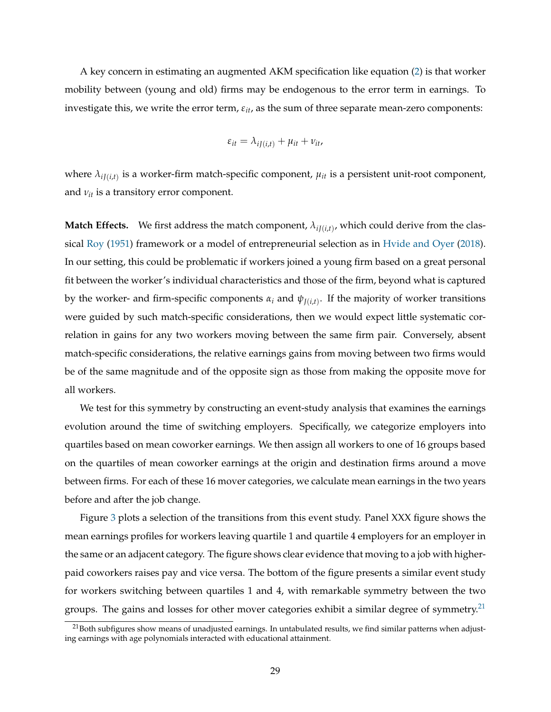A key concern in estimating an augmented AKM specification like equation (2) is that worker mobility between (young and old) firms may be endogenous to the error term in earnings. To investigate this, we write the error term, *εit*, as the sum of three separate mean-zero components:

$$
\varepsilon_{it} = \lambda_{iJ(i,t)} + \mu_{it} + \nu_{it},
$$

where  $\lambda_{iJ(i,t)}$  is a worker-firm match-specific component,  $\mu_{it}$  is a persistent unit-root component, and *νit* is a transitory error component.

**Match Effects.** We first address the match component,  $\lambda_{i J(i,t)}$ , which could derive from the classical Roy (1951) framework or a model of entrepreneurial selection as in Hvide and Oyer (2018). In our setting, this could be problematic if workers joined a young firm based on a great personal fit between the worker's individual characteristics and those of the firm, beyond what is captured by the worker- and firm-specific components  $\alpha_i$  and  $\psi_{J(i,t)}$ . If the majority of worker transitions were guided by such match-specific considerations, then we would expect little systematic correlation in gains for any two workers moving between the same firm pair. Conversely, absent match-specific considerations, the relative earnings gains from moving between two firms would be of the same magnitude and of the opposite sign as those from making the opposite move for all workers.

We test for this symmetry by constructing an event-study analysis that examines the earnings evolution around the time of switching employers. Specifically, we categorize employers into quartiles based on mean coworker earnings. We then assign all workers to one of 16 groups based on the quartiles of mean coworker earnings at the origin and destination firms around a move between firms. For each of these 16 mover categories, we calculate mean earnings in the two years before and after the job change.

Figure 3 plots a selection of the transitions from this event study. Panel XXX figure shows the mean earnings profiles for workers leaving quartile 1 and quartile 4 employers for an employer in the same or an adjacent category. The figure shows clear evidence that moving to a job with higherpaid coworkers raises pay and vice versa. The bottom of the figure presents a similar event study for workers switching between quartiles 1 and 4, with remarkable symmetry between the two groups. The gains and losses for other mover categories exhibit a similar degree of symmetry.<sup>21</sup>

 $21$ Both subfigures show means of unadjusted earnings. In untabulated results, we find similar patterns when adjusting earnings with age polynomials interacted with educational attainment.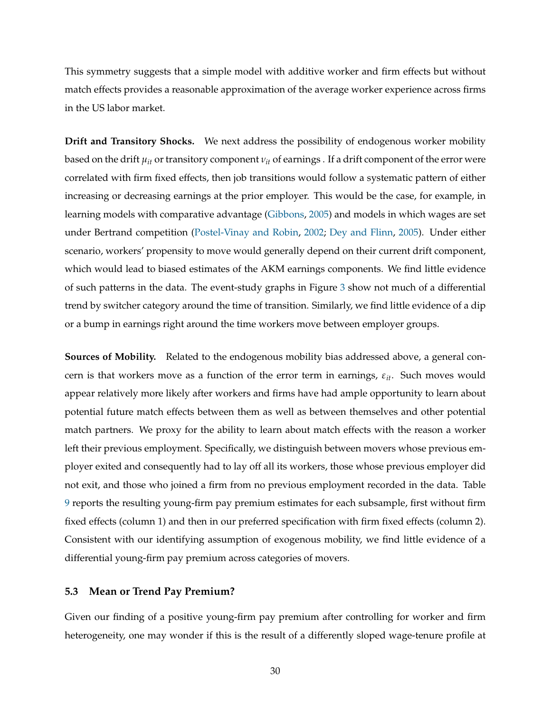This symmetry suggests that a simple model with additive worker and firm effects but without match effects provides a reasonable approximation of the average worker experience across firms in the US labor market.

**Drift and Transitory Shocks.** We next address the possibility of endogenous worker mobility based on the drift  $\mu_{it}$  or transitory component  $\nu_{it}$  of earnings . If a drift component of the error were correlated with firm fixed effects, then job transitions would follow a systematic pattern of either increasing or decreasing earnings at the prior employer. This would be the case, for example, in learning models with comparative advantage (Gibbons, 2005) and models in which wages are set under Bertrand competition (Postel-Vinay and Robin, 2002; Dey and Flinn, 2005). Under either scenario, workers' propensity to move would generally depend on their current drift component, which would lead to biased estimates of the AKM earnings components. We find little evidence of such patterns in the data. The event-study graphs in Figure 3 show not much of a differential trend by switcher category around the time of transition. Similarly, we find little evidence of a dip or a bump in earnings right around the time workers move between employer groups.

**Sources of Mobility.** Related to the endogenous mobility bias addressed above, a general concern is that workers move as a function of the error term in earnings, *εit*. Such moves would appear relatively more likely after workers and firms have had ample opportunity to learn about potential future match effects between them as well as between themselves and other potential match partners. We proxy for the ability to learn about match effects with the reason a worker left their previous employment. Specifically, we distinguish between movers whose previous employer exited and consequently had to lay off all its workers, those whose previous employer did not exit, and those who joined a firm from no previous employment recorded in the data. Table 9 reports the resulting young-firm pay premium estimates for each subsample, first without firm fixed effects (column 1) and then in our preferred specification with firm fixed effects (column 2). Consistent with our identifying assumption of exogenous mobility, we find little evidence of a differential young-firm pay premium across categories of movers.

# **5.3 Mean or Trend Pay Premium?**

Given our finding of a positive young-firm pay premium after controlling for worker and firm heterogeneity, one may wonder if this is the result of a differently sloped wage-tenure profile at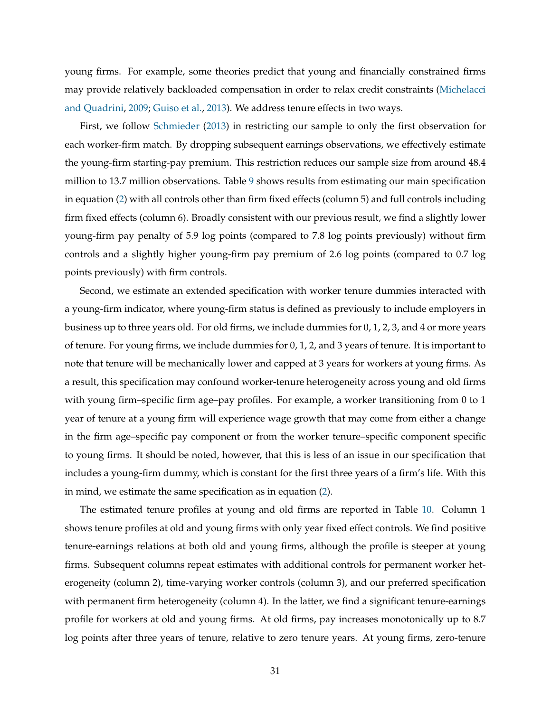young firms. For example, some theories predict that young and financially constrained firms may provide relatively backloaded compensation in order to relax credit constraints (Michelacci and Quadrini, 2009; Guiso et al., 2013). We address tenure effects in two ways.

First, we follow Schmieder (2013) in restricting our sample to only the first observation for each worker-firm match. By dropping subsequent earnings observations, we effectively estimate the young-firm starting-pay premium. This restriction reduces our sample size from around 48.4 million to 13.7 million observations. Table 9 shows results from estimating our main specification in equation (2) with all controls other than firm fixed effects (column 5) and full controls including firm fixed effects (column 6). Broadly consistent with our previous result, we find a slightly lower young-firm pay penalty of 5.9 log points (compared to 7.8 log points previously) without firm controls and a slightly higher young-firm pay premium of 2.6 log points (compared to 0.7 log points previously) with firm controls.

Second, we estimate an extended specification with worker tenure dummies interacted with a young-firm indicator, where young-firm status is defined as previously to include employers in business up to three years old. For old firms, we include dummies for 0, 1, 2, 3, and 4 or more years of tenure. For young firms, we include dummies for 0, 1, 2, and 3 years of tenure. It is important to note that tenure will be mechanically lower and capped at 3 years for workers at young firms. As a result, this specification may confound worker-tenure heterogeneity across young and old firms with young firm–specific firm age–pay profiles. For example, a worker transitioning from 0 to 1 year of tenure at a young firm will experience wage growth that may come from either a change in the firm age–specific pay component or from the worker tenure–specific component specific to young firms. It should be noted, however, that this is less of an issue in our specification that includes a young-firm dummy, which is constant for the first three years of a firm's life. With this in mind, we estimate the same specification as in equation (2).

The estimated tenure profiles at young and old firms are reported in Table 10. Column 1 shows tenure profiles at old and young firms with only year fixed effect controls. We find positive tenure-earnings relations at both old and young firms, although the profile is steeper at young firms. Subsequent columns repeat estimates with additional controls for permanent worker heterogeneity (column 2), time-varying worker controls (column 3), and our preferred specification with permanent firm heterogeneity (column 4). In the latter, we find a significant tenure-earnings profile for workers at old and young firms. At old firms, pay increases monotonically up to 8.7 log points after three years of tenure, relative to zero tenure years. At young firms, zero-tenure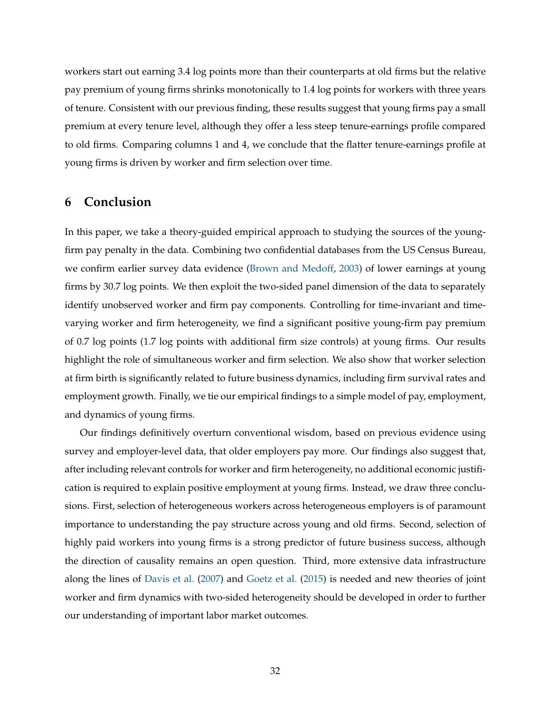workers start out earning 3.4 log points more than their counterparts at old firms but the relative pay premium of young firms shrinks monotonically to 1.4 log points for workers with three years of tenure. Consistent with our previous finding, these results suggest that young firms pay a small premium at every tenure level, although they offer a less steep tenure-earnings profile compared to old firms. Comparing columns 1 and 4, we conclude that the flatter tenure-earnings profile at young firms is driven by worker and firm selection over time.

# **6 Conclusion**

In this paper, we take a theory-guided empirical approach to studying the sources of the youngfirm pay penalty in the data. Combining two confidential databases from the US Census Bureau, we confirm earlier survey data evidence (Brown and Medoff, 2003) of lower earnings at young firms by 30.7 log points. We then exploit the two-sided panel dimension of the data to separately identify unobserved worker and firm pay components. Controlling for time-invariant and timevarying worker and firm heterogeneity, we find a significant positive young-firm pay premium of 0.7 log points (1.7 log points with additional firm size controls) at young firms. Our results highlight the role of simultaneous worker and firm selection. We also show that worker selection at firm birth is significantly related to future business dynamics, including firm survival rates and employment growth. Finally, we tie our empirical findings to a simple model of pay, employment, and dynamics of young firms.

Our findings definitively overturn conventional wisdom, based on previous evidence using survey and employer-level data, that older employers pay more. Our findings also suggest that, after including relevant controls for worker and firm heterogeneity, no additional economic justification is required to explain positive employment at young firms. Instead, we draw three conclusions. First, selection of heterogeneous workers across heterogeneous employers is of paramount importance to understanding the pay structure across young and old firms. Second, selection of highly paid workers into young firms is a strong predictor of future business success, although the direction of causality remains an open question. Third, more extensive data infrastructure along the lines of Davis et al. (2007) and Goetz et al. (2015) is needed and new theories of joint worker and firm dynamics with two-sided heterogeneity should be developed in order to further our understanding of important labor market outcomes.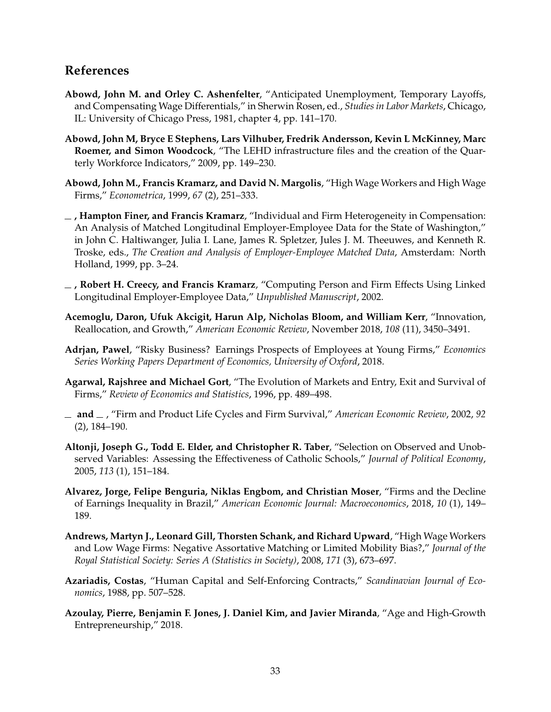# **References**

- **Abowd, John M. and Orley C. Ashenfelter**, "Anticipated Unemployment, Temporary Layoffs, and Compensating Wage Differentials," in Sherwin Rosen, ed., *Studies in Labor Markets*, Chicago, IL: University of Chicago Press, 1981, chapter 4, pp. 141–170.
- **Abowd, John M, Bryce E Stephens, Lars Vilhuber, Fredrik Andersson, Kevin L McKinney, Marc Roemer, and Simon Woodcock**, "The LEHD infrastructure files and the creation of the Quarterly Workforce Indicators," 2009, pp. 149–230.
- **Abowd, John M., Francis Kramarz, and David N. Margolis**, "High Wage Workers and High Wage Firms," *Econometrica*, 1999, *67* (2), 251–333.
- **, Hampton Finer, and Francis Kramarz**, "Individual and Firm Heterogeneity in Compensation: An Analysis of Matched Longitudinal Employer-Employee Data for the State of Washington," in John C. Haltiwanger, Julia I. Lane, James R. Spletzer, Jules J. M. Theeuwes, and Kenneth R. Troske, eds., *The Creation and Analysis of Employer-Employee Matched Data*, Amsterdam: North Holland, 1999, pp. 3–24.
- **, Robert H. Creecy, and Francis Kramarz**, "Computing Person and Firm Effects Using Linked Longitudinal Employer-Employee Data," *Unpublished Manuscript*, 2002.
- **Acemoglu, Daron, Ufuk Akcigit, Harun Alp, Nicholas Bloom, and William Kerr**, "Innovation, Reallocation, and Growth," *American Economic Review*, November 2018, *108* (11), 3450–3491.
- **Adrjan, Pawel**, "Risky Business? Earnings Prospects of Employees at Young Firms," *Economics Series Working Papers Department of Economics, University of Oxford*, 2018.
- **Agarwal, Rajshree and Michael Gort**, "The Evolution of Markets and Entry, Exit and Survival of Firms," *Review of Economics and Statistics*, 1996, pp. 489–498.
- **and** , "Firm and Product Life Cycles and Firm Survival," *American Economic Review*, 2002, *92* (2), 184–190.
- **Altonji, Joseph G., Todd E. Elder, and Christopher R. Taber**, "Selection on Observed and Unobserved Variables: Assessing the Effectiveness of Catholic Schools," *Journal of Political Economy*, 2005, *113* (1), 151–184.
- **Alvarez, Jorge, Felipe Benguria, Niklas Engbom, and Christian Moser**, "Firms and the Decline of Earnings Inequality in Brazil," *American Economic Journal: Macroeconomics*, 2018, *10* (1), 149– 189.
- **Andrews, Martyn J., Leonard Gill, Thorsten Schank, and Richard Upward**, "High Wage Workers and Low Wage Firms: Negative Assortative Matching or Limited Mobility Bias?," *Journal of the Royal Statistical Society: Series A (Statistics in Society)*, 2008, *171* (3), 673–697.
- **Azariadis, Costas**, "Human Capital and Self-Enforcing Contracts," *Scandinavian Journal of Economics*, 1988, pp. 507–528.
- **Azoulay, Pierre, Benjamin F. Jones, J. Daniel Kim, and Javier Miranda**, "Age and High-Growth Entrepreneurship," 2018.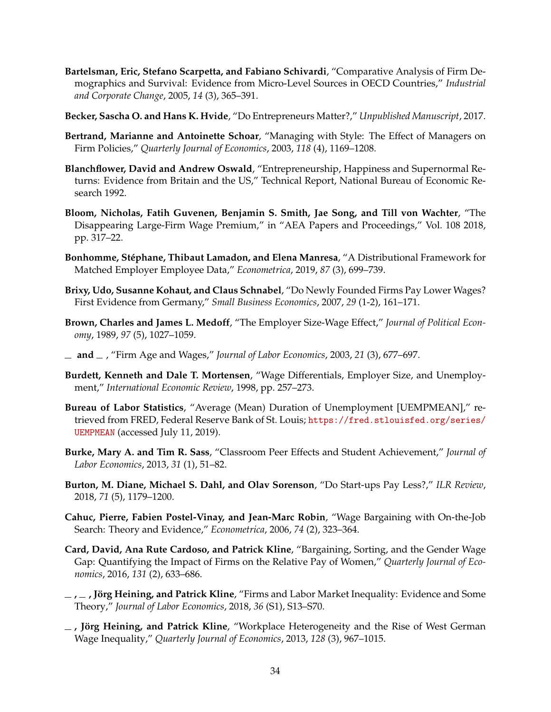- **Bartelsman, Eric, Stefano Scarpetta, and Fabiano Schivardi**, "Comparative Analysis of Firm Demographics and Survival: Evidence from Micro-Level Sources in OECD Countries," *Industrial and Corporate Change*, 2005, *14* (3), 365–391.
- **Becker, Sascha O. and Hans K. Hvide**, "Do Entrepreneurs Matter?," *Unpublished Manuscript*, 2017.
- **Bertrand, Marianne and Antoinette Schoar**, "Managing with Style: The Effect of Managers on Firm Policies," *Quarterly Journal of Economics*, 2003, *118* (4), 1169–1208.
- **Blanchflower, David and Andrew Oswald**, "Entrepreneurship, Happiness and Supernormal Returns: Evidence from Britain and the US," Technical Report, National Bureau of Economic Research 1992.
- **Bloom, Nicholas, Fatih Guvenen, Benjamin S. Smith, Jae Song, and Till von Wachter**, "The Disappearing Large-Firm Wage Premium," in "AEA Papers and Proceedings," Vol. 108 2018, pp. 317–22.
- **Bonhomme, Stéphane, Thibaut Lamadon, and Elena Manresa**, "A Distributional Framework for Matched Employer Employee Data," *Econometrica*, 2019, *87* (3), 699–739.
- **Brixy, Udo, Susanne Kohaut, and Claus Schnabel**, "Do Newly Founded Firms Pay Lower Wages? First Evidence from Germany," *Small Business Economics*, 2007, *29* (1-2), 161–171.
- **Brown, Charles and James L. Medoff**, "The Employer Size-Wage Effect," *Journal of Political Economy*, 1989, *97* (5), 1027–1059.
- **and** , "Firm Age and Wages," *Journal of Labor Economics*, 2003, *21* (3), 677–697.
- **Burdett, Kenneth and Dale T. Mortensen**, "Wage Differentials, Employer Size, and Unemployment," *International Economic Review*, 1998, pp. 257–273.
- **Bureau of Labor Statistics**, "Average (Mean) Duration of Unemployment [UEMPMEAN]," retrieved from FRED, Federal Reserve Bank of St. Louis; https://fred.stlouisfed.org/series/ UEMPMEAN (accessed July 11, 2019).
- **Burke, Mary A. and Tim R. Sass**, "Classroom Peer Effects and Student Achievement," *Journal of Labor Economics*, 2013, *31* (1), 51–82.
- **Burton, M. Diane, Michael S. Dahl, and Olav Sorenson**, "Do Start-ups Pay Less?," *ILR Review*, 2018, *71* (5), 1179–1200.
- **Cahuc, Pierre, Fabien Postel-Vinay, and Jean-Marc Robin**, "Wage Bargaining with On-the-Job Search: Theory and Evidence," *Econometrica*, 2006, *74* (2), 323–364.
- **Card, David, Ana Rute Cardoso, and Patrick Kline**, "Bargaining, Sorting, and the Gender Wage Gap: Quantifying the Impact of Firms on the Relative Pay of Women," *Quarterly Journal of Economics*, 2016, *131* (2), 633–686.
- **, , Jörg Heining, and Patrick Kline**, "Firms and Labor Market Inequality: Evidence and Some Theory," *Journal of Labor Economics*, 2018, *36* (S1), S13–S70.
- **, Jörg Heining, and Patrick Kline**, "Workplace Heterogeneity and the Rise of West German Wage Inequality," *Quarterly Journal of Economics*, 2013, *128* (3), 967–1015.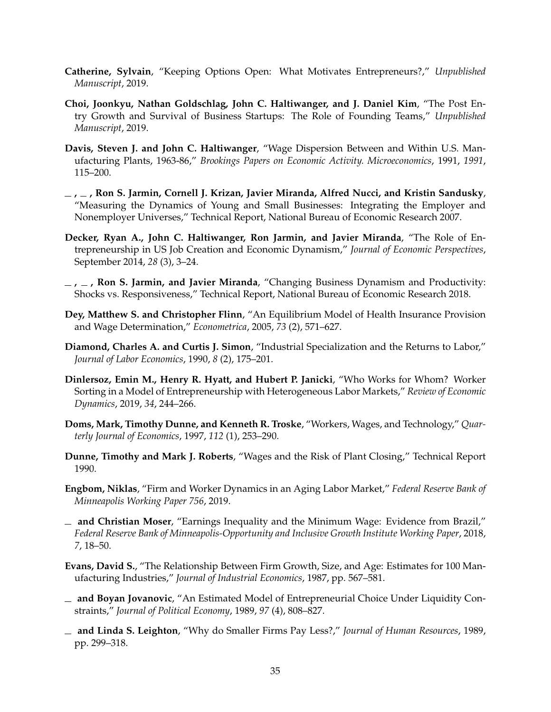- **Catherine, Sylvain**, "Keeping Options Open: What Motivates Entrepreneurs?," *Unpublished Manuscript*, 2019.
- **Choi, Joonkyu, Nathan Goldschlag, John C. Haltiwanger, and J. Daniel Kim**, "The Post Entry Growth and Survival of Business Startups: The Role of Founding Teams," *Unpublished Manuscript*, 2019.
- **Davis, Steven J. and John C. Haltiwanger**, "Wage Dispersion Between and Within U.S. Manufacturing Plants, 1963-86," *Brookings Papers on Economic Activity. Microeconomics*, 1991, *1991*, 115–200.
- **, , Ron S. Jarmin, Cornell J. Krizan, Javier Miranda, Alfred Nucci, and Kristin Sandusky**, "Measuring the Dynamics of Young and Small Businesses: Integrating the Employer and Nonemployer Universes," Technical Report, National Bureau of Economic Research 2007.
- **Decker, Ryan A., John C. Haltiwanger, Ron Jarmin, and Javier Miranda**, "The Role of Entrepreneurship in US Job Creation and Economic Dynamism," *Journal of Economic Perspectives*, September 2014, *28* (3), 3–24.
- **, , Ron S. Jarmin, and Javier Miranda**, "Changing Business Dynamism and Productivity: Shocks vs. Responsiveness," Technical Report, National Bureau of Economic Research 2018.
- **Dey, Matthew S. and Christopher Flinn**, "An Equilibrium Model of Health Insurance Provision and Wage Determination," *Econometrica*, 2005, *73* (2), 571–627.
- **Diamond, Charles A. and Curtis J. Simon**, "Industrial Specialization and the Returns to Labor," *Journal of Labor Economics*, 1990, *8* (2), 175–201.
- **Dinlersoz, Emin M., Henry R. Hyatt, and Hubert P. Janicki**, "Who Works for Whom? Worker Sorting in a Model of Entrepreneurship with Heterogeneous Labor Markets," *Review of Economic Dynamics*, 2019, *34*, 244–266.
- **Doms, Mark, Timothy Dunne, and Kenneth R. Troske**, "Workers, Wages, and Technology," *Quarterly Journal of Economics*, 1997, *112* (1), 253–290.
- **Dunne, Timothy and Mark J. Roberts**, "Wages and the Risk of Plant Closing," Technical Report 1990.
- **Engbom, Niklas**, "Firm and Worker Dynamics in an Aging Labor Market," *Federal Reserve Bank of Minneapolis Working Paper 756*, 2019.
- **and Christian Moser**, "Earnings Inequality and the Minimum Wage: Evidence from Brazil," *Federal Reserve Bank of Minneapolis-Opportunity and Inclusive Growth Institute Working Paper*, 2018, *7*, 18–50.
- **Evans, David S.**, "The Relationship Between Firm Growth, Size, and Age: Estimates for 100 Manufacturing Industries," *Journal of Industrial Economics*, 1987, pp. 567–581.
- **and Boyan Jovanovic**, "An Estimated Model of Entrepreneurial Choice Under Liquidity Constraints," *Journal of Political Economy*, 1989, *97* (4), 808–827.
- **and Linda S. Leighton**, "Why do Smaller Firms Pay Less?," *Journal of Human Resources*, 1989, pp. 299–318.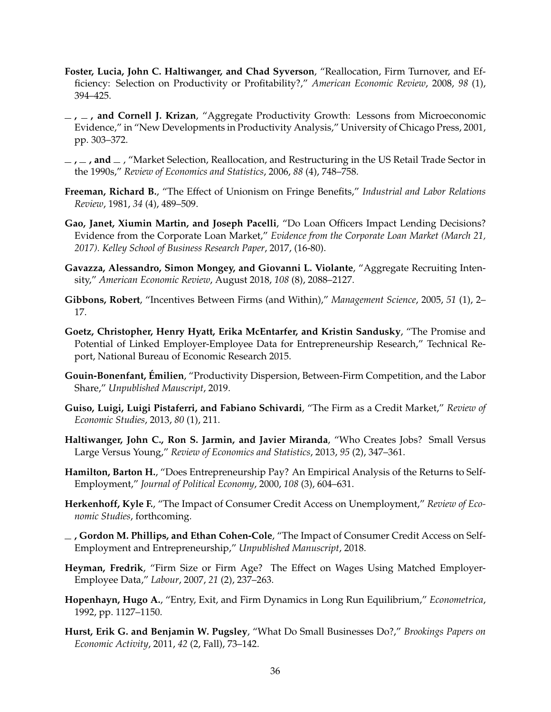- **Foster, Lucia, John C. Haltiwanger, and Chad Syverson**, "Reallocation, Firm Turnover, and Efficiency: Selection on Productivity or Profitability?," *American Economic Review*, 2008, *98* (1), 394–425.
- **, , and Cornell J. Krizan**, "Aggregate Productivity Growth: Lessons from Microeconomic Evidence," in "New Developments in Productivity Analysis," University of Chicago Press, 2001, pp. 303–372.
- $\lambda$ ,  $\lambda$ , **and**  $\lambda$ , "Market Selection, Reallocation, and Restructuring in the US Retail Trade Sector in the 1990s," *Review of Economics and Statistics*, 2006, *88* (4), 748–758.
- **Freeman, Richard B.**, "The Effect of Unionism on Fringe Benefits," *Industrial and Labor Relations Review*, 1981, *34* (4), 489–509.
- **Gao, Janet, Xiumin Martin, and Joseph Pacelli**, "Do Loan Officers Impact Lending Decisions? Evidence from the Corporate Loan Market," *Evidence from the Corporate Loan Market (March 21, 2017). Kelley School of Business Research Paper*, 2017, (16-80).
- **Gavazza, Alessandro, Simon Mongey, and Giovanni L. Violante**, "Aggregate Recruiting Intensity," *American Economic Review*, August 2018, *108* (8), 2088–2127.
- **Gibbons, Robert**, "Incentives Between Firms (and Within)," *Management Science*, 2005, *51* (1), 2– 17.
- **Goetz, Christopher, Henry Hyatt, Erika McEntarfer, and Kristin Sandusky**, "The Promise and Potential of Linked Employer-Employee Data for Entrepreneurship Research," Technical Report, National Bureau of Economic Research 2015.
- **Gouin-Bonenfant, Émilien**, "Productivity Dispersion, Between-Firm Competition, and the Labor Share," *Unpublished Mauscript*, 2019.
- **Guiso, Luigi, Luigi Pistaferri, and Fabiano Schivardi**, "The Firm as a Credit Market," *Review of Economic Studies*, 2013, *80* (1), 211.
- **Haltiwanger, John C., Ron S. Jarmin, and Javier Miranda**, "Who Creates Jobs? Small Versus Large Versus Young," *Review of Economics and Statistics*, 2013, *95* (2), 347–361.
- **Hamilton, Barton H.**, "Does Entrepreneurship Pay? An Empirical Analysis of the Returns to Self-Employment," *Journal of Political Economy*, 2000, *108* (3), 604–631.
- **Herkenhoff, Kyle F.**, "The Impact of Consumer Credit Access on Unemployment," *Review of Economic Studies*, forthcoming.
- **, Gordon M. Phillips, and Ethan Cohen-Cole**, "The Impact of Consumer Credit Access on Self-Employment and Entrepreneurship," *Unpublished Manuscript*, 2018.
- **Heyman, Fredrik**, "Firm Size or Firm Age? The Effect on Wages Using Matched Employer-Employee Data," *Labour*, 2007, *21* (2), 237–263.
- **Hopenhayn, Hugo A.**, "Entry, Exit, and Firm Dynamics in Long Run Equilibrium," *Econometrica*, 1992, pp. 1127–1150.
- **Hurst, Erik G. and Benjamin W. Pugsley**, "What Do Small Businesses Do?," *Brookings Papers on Economic Activity*, 2011, *42* (2, Fall), 73–142.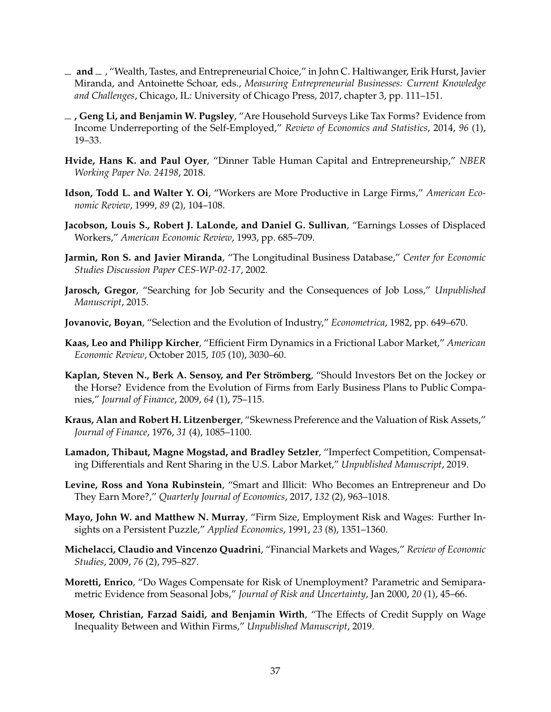- $-$  and  $-$  , "Wealth, Tastes, and Entrepreneurial Choice," in John C. Haltiwanger, Erik Hurst, Javier Miranda, and Antoinette Schoar, eds., *Measuring Entrepreneurial Businesses: Current Knowledge and Challenges*, Chicago, IL: University of Chicago Press, 2017, chapter 3, pp. 111–151.
- **, Geng Li, and Benjamin W. Pugsley**, "Are Household Surveys Like Tax Forms? Evidence from Income Underreporting of the Self-Employed," *Review of Economics and Statistics*, 2014, *96* (1), 19–33.
- **Hvide, Hans K. and Paul Oyer**, "Dinner Table Human Capital and Entrepreneurship," *NBER Working Paper No. 24198*, 2018.
- **Idson, Todd L. and Walter Y. Oi**, "Workers are More Productive in Large Firms," *American Economic Review*, 1999, *89* (2), 104–108.
- **Jacobson, Louis S., Robert J. LaLonde, and Daniel G. Sullivan**, "Earnings Losses of Displaced Workers," *American Economic Review*, 1993, pp. 685–709.
- **Jarmin, Ron S. and Javier Miranda**, "The Longitudinal Business Database," *Center for Economic Studies Discussion Paper CES-WP-02-17*, 2002.
- **Jarosch, Gregor**, "Searching for Job Security and the Consequences of Job Loss," *Unpublished Manuscript*, 2015.
- **Jovanovic, Boyan**, "Selection and the Evolution of Industry," *Econometrica*, 1982, pp. 649–670.
- **Kaas, Leo and Philipp Kircher**, "Efficient Firm Dynamics in a Frictional Labor Market," *American Economic Review*, October 2015, *105* (10), 3030–60.
- **Kaplan, Steven N., Berk A. Sensoy, and Per Strömberg**, "Should Investors Bet on the Jockey or the Horse? Evidence from the Evolution of Firms from Early Business Plans to Public Companies," *Journal of Finance*, 2009, *64* (1), 75–115.
- **Kraus, Alan and Robert H. Litzenberger**, "Skewness Preference and the Valuation of Risk Assets," *Journal of Finance*, 1976, *31* (4), 1085–1100.
- **Lamadon, Thibaut, Magne Mogstad, and Bradley Setzler**, "Imperfect Competition, Compensating Differentials and Rent Sharing in the U.S. Labor Market," *Unpublished Manuscript*, 2019.
- **Levine, Ross and Yona Rubinstein**, "Smart and Illicit: Who Becomes an Entrepreneur and Do They Earn More?," *Quarterly Journal of Economics*, 2017, *132* (2), 963–1018.
- **Mayo, John W. and Matthew N. Murray**, "Firm Size, Employment Risk and Wages: Further Insights on a Persistent Puzzle," *Applied Economics*, 1991, *23* (8), 1351–1360.
- **Michelacci, Claudio and Vincenzo Quadrini**, "Financial Markets and Wages," *Review of Economic Studies*, 2009, *76* (2), 795–827.
- **Moretti, Enrico**, "Do Wages Compensate for Risk of Unemployment? Parametric and Semiparametric Evidence from Seasonal Jobs," *Journal of Risk and Uncertainty*, Jan 2000, *20* (1), 45–66.
- **Moser, Christian, Farzad Saidi, and Benjamin Wirth**, "The Effects of Credit Supply on Wage Inequality Between and Within Firms," *Unpublished Manuscript*, 2019.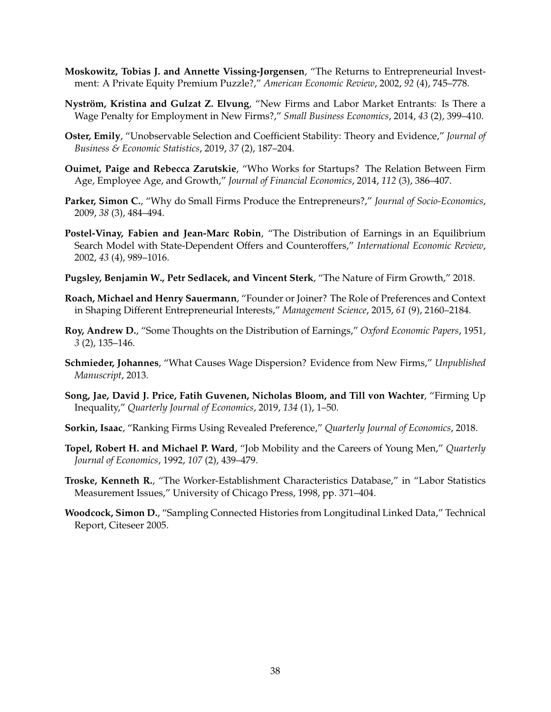- **Moskowitz, Tobias J. and Annette Vissing-Jørgensen**, "The Returns to Entrepreneurial Investment: A Private Equity Premium Puzzle?," *American Economic Review*, 2002, *92* (4), 745–778.
- **Nyström, Kristina and Gulzat Z. Elvung**, "New Firms and Labor Market Entrants: Is There a Wage Penalty for Employment in New Firms?," *Small Business Economics*, 2014, *43* (2), 399–410.
- **Oster, Emily**, "Unobservable Selection and Coefficient Stability: Theory and Evidence," *Journal of Business & Economic Statistics*, 2019, *37* (2), 187–204.
- **Ouimet, Paige and Rebecca Zarutskie**, "Who Works for Startups? The Relation Between Firm Age, Employee Age, and Growth," *Journal of Financial Economics*, 2014, *112* (3), 386–407.
- **Parker, Simon C.**, "Why do Small Firms Produce the Entrepreneurs?," *Journal of Socio-Economics*, 2009, *38* (3), 484–494.
- **Postel-Vinay, Fabien and Jean-Marc Robin**, "The Distribution of Earnings in an Equilibrium Search Model with State-Dependent Offers and Counteroffers," *International Economic Review*, 2002, *43* (4), 989–1016.
- **Pugsley, Benjamin W., Petr Sedlacek, and Vincent Sterk**, "The Nature of Firm Growth," 2018.
- **Roach, Michael and Henry Sauermann**, "Founder or Joiner? The Role of Preferences and Context in Shaping Different Entrepreneurial Interests," *Management Science*, 2015, *61* (9), 2160–2184.
- **Roy, Andrew D.**, "Some Thoughts on the Distribution of Earnings," *Oxford Economic Papers*, 1951, *3* (2), 135–146.
- **Schmieder, Johannes**, "What Causes Wage Dispersion? Evidence from New Firms," *Unpublished Manuscript*, 2013.
- **Song, Jae, David J. Price, Fatih Guvenen, Nicholas Bloom, and Till von Wachter**, "Firming Up Inequality," *Quarterly Journal of Economics*, 2019, *134* (1), 1–50.
- **Sorkin, Isaac**, "Ranking Firms Using Revealed Preference," *Quarterly Journal of Economics*, 2018.
- **Topel, Robert H. and Michael P. Ward**, "Job Mobility and the Careers of Young Men," *Quarterly Journal of Economics*, 1992, *107* (2), 439–479.
- **Troske, Kenneth R.**, "The Worker-Establishment Characteristics Database," in "Labor Statistics Measurement Issues," University of Chicago Press, 1998, pp. 371–404.
- **Woodcock, Simon D.**, "Sampling Connected Histories from Longitudinal Linked Data," Technical Report, Citeseer 2005.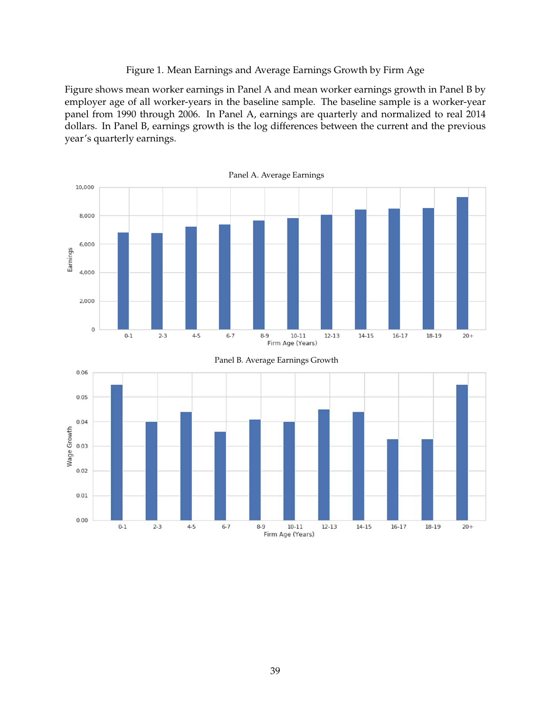# Figure 1. Mean Earnings and Average Earnings Growth by Firm Age

Figure shows mean worker earnings in Panel A and mean worker earnings growth in Panel B by employer age of all worker-years in the baseline sample. The baseline sample is a worker-year panel from 1990 through 2006. In Panel A, earnings are quarterly and normalized to real 2014 dollars. In Panel B, earnings growth is the log differences between the current and the previous year's quarterly earnings.

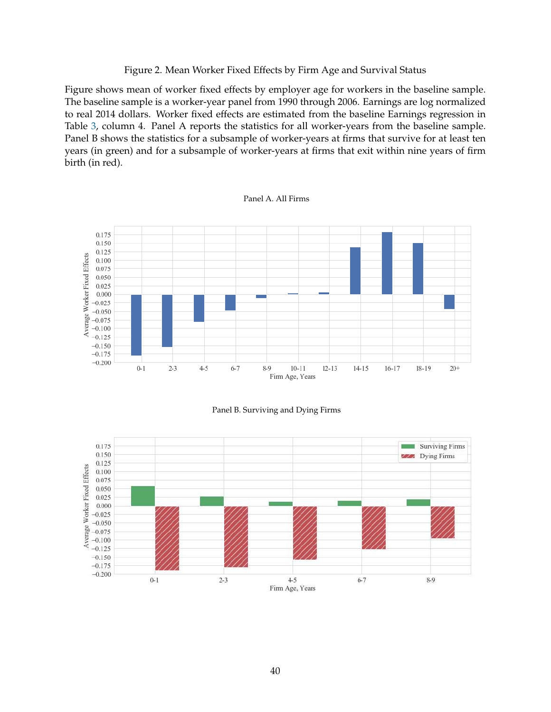# Figure 2. Mean Worker Fixed Effects by Firm Age and Survival Status

Figure shows mean of worker fixed effects by employer age for workers in the baseline sample. The baseline sample is a worker-year panel from 1990 through 2006. Earnings are log normalized to real 2014 dollars. Worker fixed effects are estimated from the baseline Earnings regression in Table 3, column 4. Panel A reports the statistics for all worker-years from the baseline sample. Panel B shows the statistics for a subsample of worker-years at firms that survive for at least ten years (in green) and for a subsample of worker-years at firms that exit within nine years of firm birth (in red).







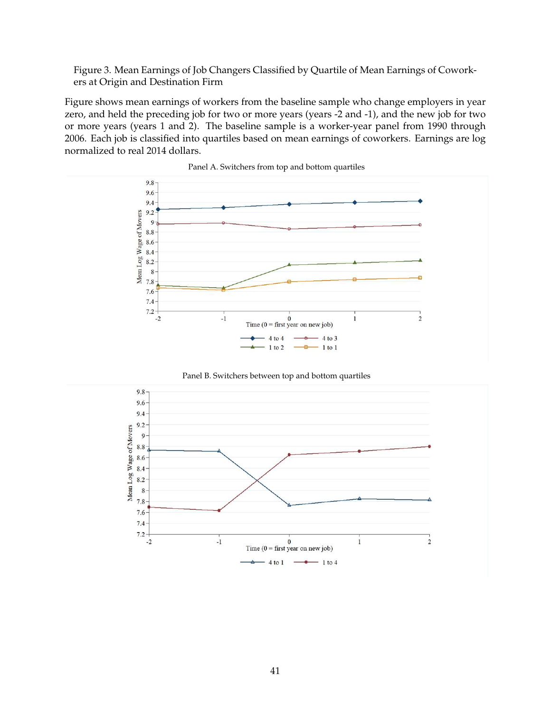Figure 3. Mean Earnings of Job Changers Classified by Quartile of Mean Earnings of Coworkers at Origin and Destination Firm

Figure shows mean earnings of workers from the baseline sample who change employers in year zero, and held the preceding job for two or more years (years -2 and -1), and the new job for two or more years (years 1 and 2). The baseline sample is a worker-year panel from 1990 through 2006. Each job is classified into quartiles based on mean earnings of coworkers. Earnings are log normalized to real 2014 dollars.





Panel B. Switchers between top and bottom quartiles

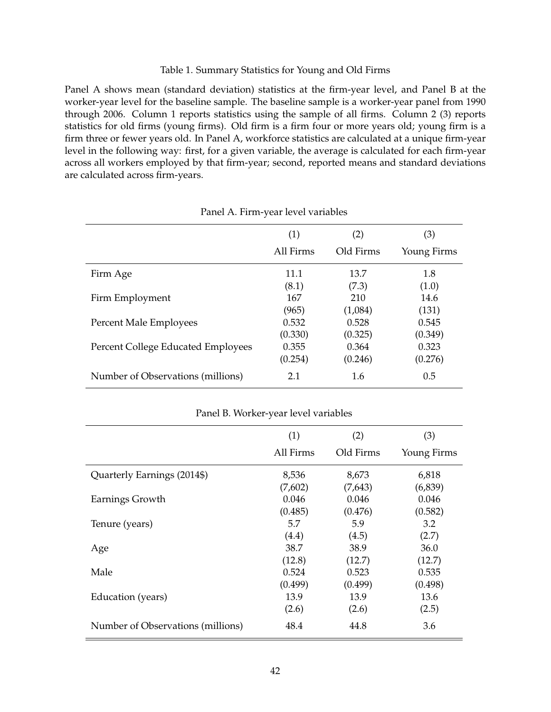# Table 1. Summary Statistics for Young and Old Firms

Panel A shows mean (standard deviation) statistics at the firm-year level, and Panel B at the worker-year level for the baseline sample. The baseline sample is a worker-year panel from 1990 through 2006. Column 1 reports statistics using the sample of all firms. Column 2 (3) reports statistics for old firms (young firms). Old firm is a firm four or more years old; young firm is a firm three or fewer years old. In Panel A, workforce statistics are calculated at a unique firm-year level in the following way: first, for a given variable, the average is calculated for each firm-year across all workers employed by that firm-year; second, reported means and standard deviations are calculated across firm-years.

|                                    | (1)<br>All Firms | (2)<br>Old Firms | (3)<br>Young Firms |
|------------------------------------|------------------|------------------|--------------------|
| Firm Age                           | 11.1             | 13.7             | 1.8                |
|                                    | (8.1)            | (7.3)            | (1.0)              |
| Firm Employment                    | 167              | 210              | 14.6               |
|                                    | (965)            | (1,084)          | (131)              |
| Percent Male Employees             | 0.532            | 0.528            | 0.545              |
|                                    | (0.330)          | (0.325)          | (0.349)            |
| Percent College Educated Employees | 0.355            | 0.364            | 0.323              |
|                                    | (0.254)          | (0.246)          | (0.276)            |
| Number of Observations (millions)  | 2.1              | 1.6              | 0.5                |

| Panel A. Firm-year level variables |  |  |  |
|------------------------------------|--|--|--|
|------------------------------------|--|--|--|

| Panel B. Worker-year level variables |  |  |
|--------------------------------------|--|--|
|--------------------------------------|--|--|

|                                   | (1)<br>(2) |           | (3)         |
|-----------------------------------|------------|-----------|-------------|
|                                   | All Firms  | Old Firms | Young Firms |
| Quarterly Earnings (2014\$)       | 8,536      | 8,673     | 6,818       |
|                                   | (7,602)    | (7,643)   | (6,839)     |
| Earnings Growth                   | 0.046      | 0.046     | 0.046       |
|                                   | (0.485)    | (0.476)   | (0.582)     |
| Tenure (years)                    | 5.7        | 5.9       | 3.2         |
|                                   | (4.4)      | (4.5)     | (2.7)       |
| Age                               | 38.7       | 38.9      | 36.0        |
|                                   | (12.8)     | (12.7)    | (12.7)      |
| Male                              | 0.524      | 0.523     | 0.535       |
|                                   | (0.499)    | (0.499)   | (0.498)     |
| Education (years)                 | 13.9       | 13.9      | 13.6        |
|                                   | (2.6)      | (2.6)     | (2.5)       |
| Number of Observations (millions) | 48.4       | 44.8      | 3.6         |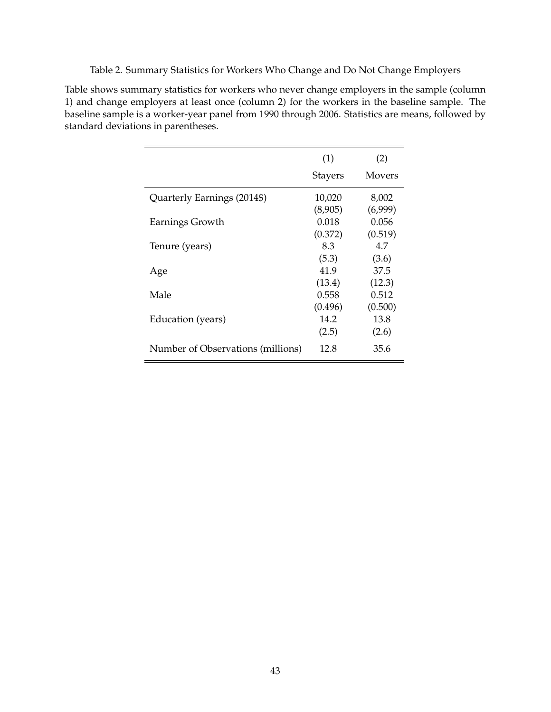Table 2. Summary Statistics for Workers Who Change and Do Not Change Employers

Table shows summary statistics for workers who never change employers in the sample (column 1) and change employers at least once (column 2) for the workers in the baseline sample. The baseline sample is a worker-year panel from 1990 through 2006. Statistics are means, followed by standard deviations in parentheses.

|                                   | (1)            | (2)     |
|-----------------------------------|----------------|---------|
|                                   | <b>Stayers</b> | Movers  |
| Quarterly Earnings (2014\$)       | 10,020         | 8,002   |
|                                   | (8,905)        | (6,999) |
| Earnings Growth                   | 0.018          | 0.056   |
|                                   | (0.372)        | (0.519) |
| Tenure (years)                    | 8.3            | 4.7     |
|                                   | (5.3)          | (3.6)   |
| Age                               | 41.9           | 37.5    |
|                                   | (13.4)         | (12.3)  |
| Male                              | 0.558          | 0.512   |
|                                   | (0.496)        | (0.500) |
| Education (years)                 | 14.2           | 13.8    |
|                                   | (2.5)          | (2.6)   |
| Number of Observations (millions) | 12.8           | 35.6    |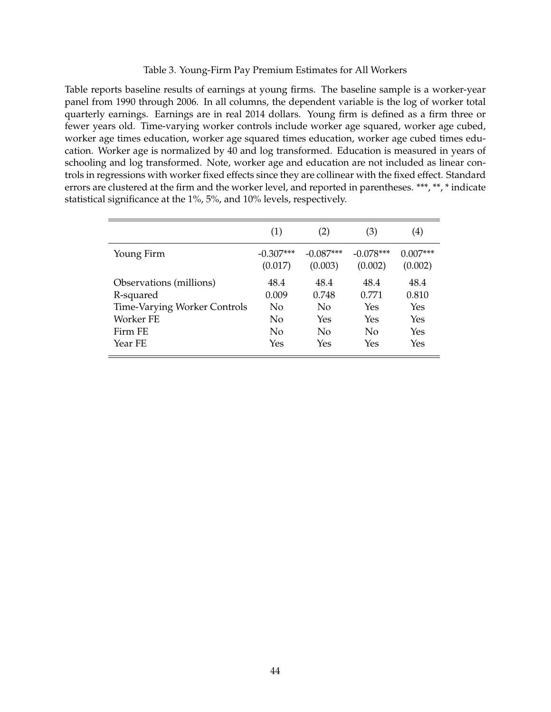### Table 3. Young-Firm Pay Premium Estimates for All Workers

Table reports baseline results of earnings at young firms. The baseline sample is a worker-year panel from 1990 through 2006. In all columns, the dependent variable is the log of worker total quarterly earnings. Earnings are in real 2014 dollars. Young firm is defined as a firm three or fewer years old. Time-varying worker controls include worker age squared, worker age cubed, worker age times education, worker age squared times education, worker age cubed times education. Worker age is normalized by 40 and log transformed. Education is measured in years of schooling and log transformed. Note, worker age and education are not included as linear controls in regressions with worker fixed effects since they are collinear with the fixed effect. Standard errors are clustered at the firm and the worker level, and reported in parentheses. \*\*\*, \*\*, \* indicate statistical significance at the 1%, 5%, and 10% levels, respectively.

|                              | (1)                    | (2)                    | (3)                    | $\left( 4\right)$     |
|------------------------------|------------------------|------------------------|------------------------|-----------------------|
| Young Firm                   | $-0.307***$<br>(0.017) | $-0.087***$<br>(0.003) | $-0.078***$<br>(0.002) | $0.007***$<br>(0.002) |
| Observations (millions)      | 48.4                   | 48.4                   | 48.4                   | 48.4                  |
| R-squared                    | 0.009                  | 0.748                  | 0.771                  | 0.810                 |
| Time-Varying Worker Controls | No                     | No                     | Yes                    | Yes                   |
| Worker FE                    | No                     | Yes                    | Yes                    | Yes                   |
| Firm FE                      | No                     | $\rm No$               | No                     | Yes                   |
| Year FE                      | Yes                    | Yes                    | Yes                    | Yes                   |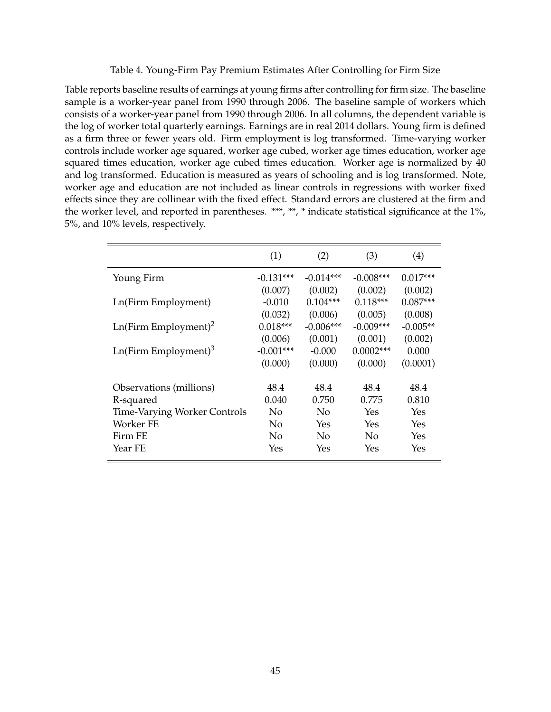Table 4. Young-Firm Pay Premium Estimates After Controlling for Firm Size

Table reports baseline results of earnings at young firms after controlling for firm size. The baseline sample is a worker-year panel from 1990 through 2006. The baseline sample of workers which consists of a worker-year panel from 1990 through 2006. In all columns, the dependent variable is the log of worker total quarterly earnings. Earnings are in real 2014 dollars. Young firm is defined as a firm three or fewer years old. Firm employment is log transformed. Time-varying worker controls include worker age squared, worker age cubed, worker age times education, worker age squared times education, worker age cubed times education. Worker age is normalized by 40 and log transformed. Education is measured as years of schooling and is log transformed. Note, worker age and education are not included as linear controls in regressions with worker fixed effects since they are collinear with the fixed effect. Standard errors are clustered at the firm and the worker level, and reported in parentheses. \*\*\*, \*\*, \* indicate statistical significance at the 1%, 5%, and 10% levels, respectively.

|                                     | (1)         | (2)         | (3)         | (4)        |
|-------------------------------------|-------------|-------------|-------------|------------|
| Young Firm                          | $-0.131***$ | $-0.014***$ | $-0.008***$ | $0.017***$ |
|                                     | (0.007)     | (0.002)     | (0.002)     | (0.002)    |
| Ln(Firm Employment)                 | $-0.010$    | $0.104***$  | $0.118***$  | $0.087***$ |
|                                     | (0.032)     | (0.006)     | (0.005)     | (0.008)    |
| $Ln(Firm \nEmployment)^2$           | $0.018***$  | $-0.006***$ | $-0.009***$ | $-0.005**$ |
|                                     | (0.006)     | (0.001)     | (0.001)     | (0.002)    |
| $Ln(Firm \nEmployment)^3$           | $-0.001***$ | $-0.000$    | $0.0002***$ | 0.000      |
|                                     | (0.000)     | (0.000)     | (0.000)     | (0.0001)   |
| Observations (millions)             | 48.4        | 48.4        | 48.4        | 48.4       |
| R-squared                           | 0.040       | 0.750       | 0.775       | 0.810      |
| <b>Time-Varying Worker Controls</b> | No          | No          | Yes         | Yes        |
| Worker FE                           | No          | Yes         | Yes         | Yes        |
| Firm FE                             | No          | No          | No          | Yes        |
| Year FE                             | Yes         | Yes         | Yes         | Yes        |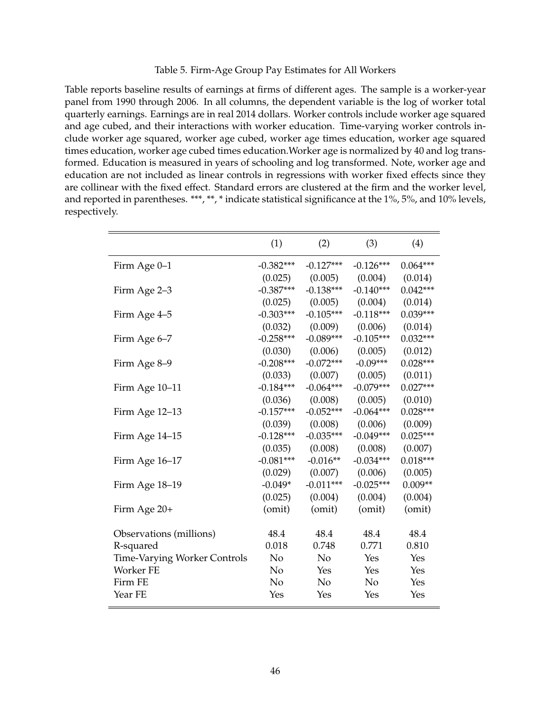# Table 5. Firm-Age Group Pay Estimates for All Workers

Table reports baseline results of earnings at firms of different ages. The sample is a worker-year panel from 1990 through 2006. In all columns, the dependent variable is the log of worker total quarterly earnings. Earnings are in real 2014 dollars. Worker controls include worker age squared and age cubed, and their interactions with worker education. Time-varying worker controls include worker age squared, worker age cubed, worker age times education, worker age squared times education, worker age cubed times education.Worker age is normalized by 40 and log transformed. Education is measured in years of schooling and log transformed. Note, worker age and education are not included as linear controls in regressions with worker fixed effects since they are collinear with the fixed effect. Standard errors are clustered at the firm and the worker level, and reported in parentheses. \*\*\*, \*\*, \* indicate statistical significance at the 1%, 5%, and 10% levels, respectively.

|                                     | (1)            | (2)            | (3)            | (4)        |
|-------------------------------------|----------------|----------------|----------------|------------|
| Firm Age 0-1                        | $-0.382***$    | $-0.127***$    | $-0.126***$    | $0.064***$ |
|                                     | (0.025)        | (0.005)        | (0.004)        | (0.014)    |
| Firm Age 2-3                        | $-0.387***$    | $-0.138***$    | $-0.140***$    | $0.042***$ |
|                                     | (0.025)        | (0.005)        | (0.004)        | (0.014)    |
| Firm Age 4–5                        | $-0.303***$    | $-0.105***$    | $-0.118***$    | $0.039***$ |
|                                     | (0.032)        | (0.009)        | (0.006)        | (0.014)    |
| Firm Age 6-7                        | $-0.258***$    | $-0.089***$    | $-0.105***$    | $0.032***$ |
|                                     | (0.030)        | (0.006)        | (0.005)        | (0.012)    |
| Firm Age 8-9                        | $-0.208***$    | $-0.072***$    | $-0.09***$     | $0.028***$ |
|                                     | (0.033)        | (0.007)        | (0.005)        | (0.011)    |
| Firm Age 10-11                      | $-0.184***$    | $-0.064***$    | $-0.079***$    | $0.027***$ |
|                                     | (0.036)        | (0.008)        | (0.005)        | (0.010)    |
| Firm Age 12–13                      | $-0.157***$    | $-0.052***$    | $-0.064***$    | $0.028***$ |
|                                     | (0.039)        | (0.008)        | (0.006)        | (0.009)    |
| Firm Age 14–15                      | $-0.128***$    | $-0.035***$    | $-0.049***$    | $0.025***$ |
|                                     | (0.035)        | (0.008)        | (0.008)        | (0.007)    |
| Firm Age 16-17                      | $-0.081***$    | $-0.016**$     | $-0.034***$    | $0.018***$ |
|                                     | (0.029)        | (0.007)        | (0.006)        | (0.005)    |
| Firm Age 18-19                      | $-0.049*$      | $-0.011***$    | $-0.025***$    | $0.009**$  |
|                                     | (0.025)        | (0.004)        | (0.004)        | (0.004)    |
| Firm Age 20+                        | (omit)         | (omit)         | (omit)         | (omit)     |
|                                     |                |                |                |            |
| Observations (millions)             | 48.4           | 48.4           | 48.4           | 48.4       |
| R-squared                           | 0.018          | 0.748          | 0.771          | 0.810      |
| <b>Time-Varying Worker Controls</b> | N <sub>o</sub> | N <sub>o</sub> | Yes            | Yes        |
| Worker FE                           | N <sub>o</sub> | Yes            | Yes            | Yes        |
| Firm FE                             | No             | No             | N <sub>o</sub> | Yes        |
| Year FE                             | Yes            | Yes            | Yes            | Yes        |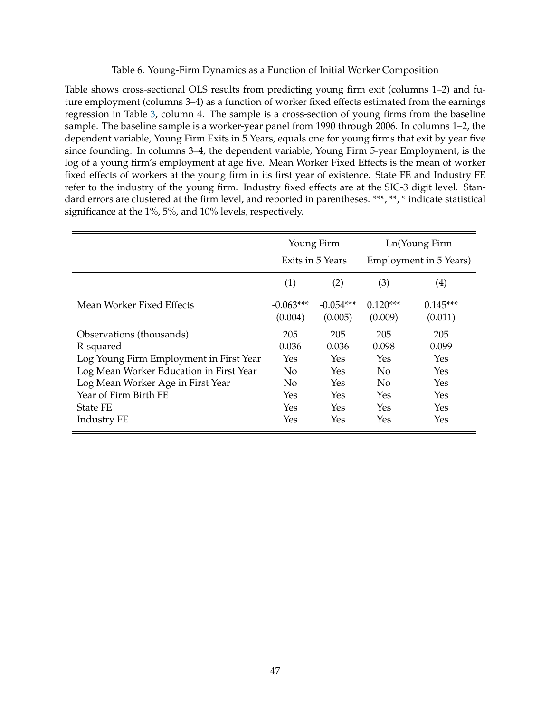# Table 6. Young-Firm Dynamics as a Function of Initial Worker Composition

Table shows cross-sectional OLS results from predicting young firm exit (columns 1–2) and future employment (columns 3–4) as a function of worker fixed effects estimated from the earnings regression in Table 3, column 4. The sample is a cross-section of young firms from the baseline sample. The baseline sample is a worker-year panel from 1990 through 2006. In columns 1–2, the dependent variable, Young Firm Exits in 5 Years, equals one for young firms that exit by year five since founding. In columns 3–4, the dependent variable, Young Firm 5-year Employment, is the log of a young firm's employment at age five. Mean Worker Fixed Effects is the mean of worker fixed effects of workers at the young firm in its first year of existence. State FE and Industry FE refer to the industry of the young firm. Industry fixed effects are at the SIC-3 digit level. Standard errors are clustered at the firm level, and reported in parentheses. \*\*\*, \*\*, \* indicate statistical significance at the 1%, 5%, and 10% levels, respectively.

|                                         | Young Firm<br>Exits in 5 Years |                        | Ln(Young Firm<br>Employment in 5 Years) |                       |
|-----------------------------------------|--------------------------------|------------------------|-----------------------------------------|-----------------------|
|                                         | (1)                            | (2)                    | (3)                                     | (4)                   |
| Mean Worker Fixed Effects               | $-0.063***$<br>(0.004)         | $-0.054***$<br>(0.005) | $0.120***$<br>(0.009)                   | $0.145***$<br>(0.011) |
| Observations (thousands)                | 205                            | 205                    | 205                                     | 205                   |
| R-squared                               | 0.036                          | 0.036                  | 0.098                                   | 0.099                 |
| Log Young Firm Employment in First Year | Yes                            | Yes                    | Yes                                     | <b>Yes</b>            |
| Log Mean Worker Education in First Year | $\overline{N}$                 | Yes                    | $\overline{N}$                          | <b>Yes</b>            |
| Log Mean Worker Age in First Year       | $\overline{N}$                 | Yes                    | $\rm No$                                | <b>Yes</b>            |
| Year of Firm Birth FE                   | Yes                            | Yes                    | Yes                                     | <b>Yes</b>            |
| <b>State FE</b>                         | Yes                            | Yes                    | Yes                                     | <b>Yes</b>            |
| <b>Industry FE</b>                      | Yes                            | Yes                    | Yes                                     | Yes                   |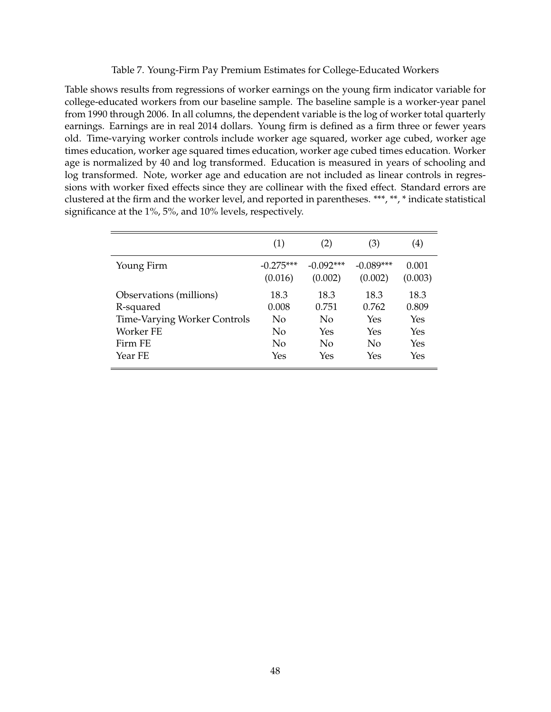# Table 7. Young-Firm Pay Premium Estimates for College-Educated Workers

Table shows results from regressions of worker earnings on the young firm indicator variable for college-educated workers from our baseline sample. The baseline sample is a worker-year panel from 1990 through 2006. In all columns, the dependent variable is the log of worker total quarterly earnings. Earnings are in real 2014 dollars. Young firm is defined as a firm three or fewer years old. Time-varying worker controls include worker age squared, worker age cubed, worker age times education, worker age squared times education, worker age cubed times education. Worker age is normalized by 40 and log transformed. Education is measured in years of schooling and log transformed. Note, worker age and education are not included as linear controls in regressions with worker fixed effects since they are collinear with the fixed effect. Standard errors are clustered at the firm and the worker level, and reported in parentheses. \*\*\*, \*\*, \* indicate statistical significance at the 1%, 5%, and 10% levels, respectively.

|                                     | (1)         | (2)         | (3)         | $\left( 4\right)$ |
|-------------------------------------|-------------|-------------|-------------|-------------------|
| Young Firm                          | $-0.275***$ | $-0.092***$ | $-0.089***$ | 0.001             |
|                                     | (0.016)     | (0.002)     | (0.002)     | (0.003)           |
| Observations (millions)             | 18.3        | 18.3        | 18.3        | 18.3              |
| R-squared                           | 0.008       | 0.751       | 0.762       | 0.809             |
| <b>Time-Varying Worker Controls</b> | No          | No          | Yes         | Yes               |
| Worker FE                           | No          | Yes         | Yes         | Yes               |
| Firm FE                             | No          | No          | No.         | <b>Yes</b>        |
| Year FE                             | Yes         | Yes         | Yes         | Yes               |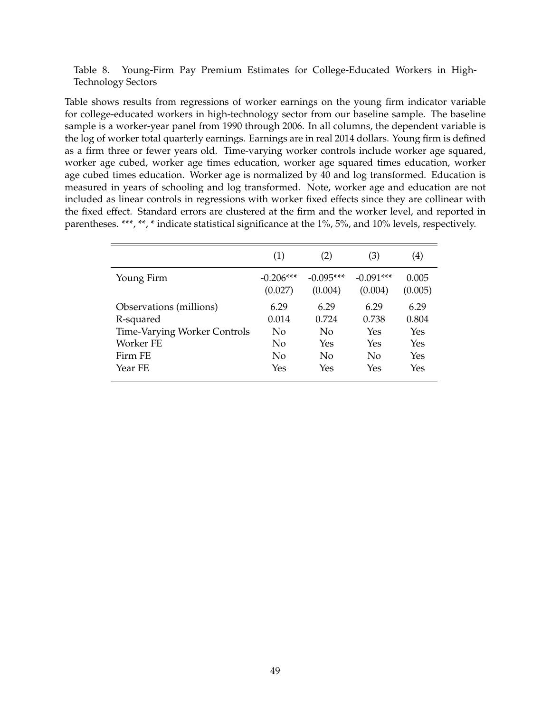Table 8. Young-Firm Pay Premium Estimates for College-Educated Workers in High-Technology Sectors

Table shows results from regressions of worker earnings on the young firm indicator variable for college-educated workers in high-technology sector from our baseline sample. The baseline sample is a worker-year panel from 1990 through 2006. In all columns, the dependent variable is the log of worker total quarterly earnings. Earnings are in real 2014 dollars. Young firm is defined as a firm three or fewer years old. Time-varying worker controls include worker age squared, worker age cubed, worker age times education, worker age squared times education, worker age cubed times education. Worker age is normalized by 40 and log transformed. Education is measured in years of schooling and log transformed. Note, worker age and education are not included as linear controls in regressions with worker fixed effects since they are collinear with the fixed effect. Standard errors are clustered at the firm and the worker level, and reported in parentheses. \*\*\*, \*\*, \* indicate statistical significance at the 1%, 5%, and 10% levels, respectively.

|                                     | (1)         | (2)         | (3)         | $\left( 4\right)$ |
|-------------------------------------|-------------|-------------|-------------|-------------------|
| Young Firm                          | $-0.206***$ | $-0.095***$ | $-0.091***$ | 0.005             |
|                                     | (0.027)     | (0.004)     | (0.004)     | (0.005)           |
| Observations (millions)             | 6.29        | 6.29        | 6.29        | 6.29              |
| R-squared                           | 0.014       | 0.724       | 0.738       | 0.804             |
| <b>Time-Varying Worker Controls</b> | No.         | No          | Yes         | Yes               |
| Worker FE                           | No          | Yes         | Yes         | Yes               |
| Firm FE                             | No          | No          | No          | Yes               |
| Year FE                             | Yes         | Yes         | Yes         | Yes               |
|                                     |             |             |             |                   |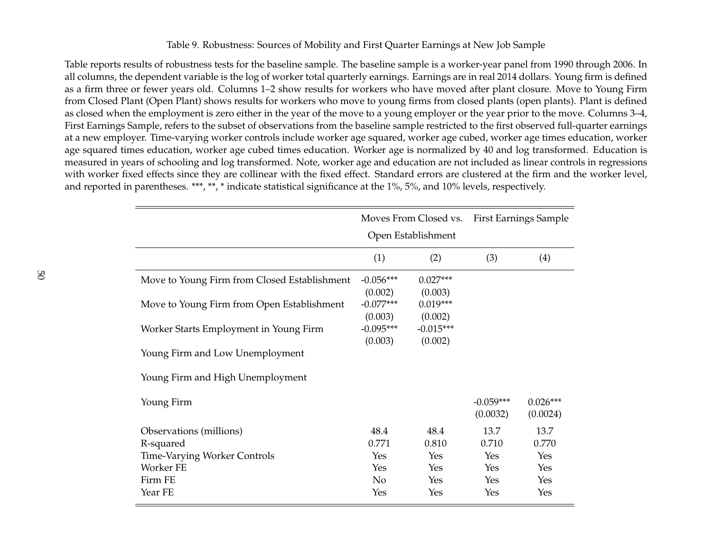# Table 9. Robustness: Sources of Mobility and First Quarter Earnings at New Job Sample

Table reports results of robustness tests for the baseline sample. The baseline sample is <sup>a</sup> worker-year panel from 1990 through 2006. In all columns, the dependent variable is the log of worker total quarterly earnings. Earnings are in real 2014 dollars. Young firm is defined as <sup>a</sup> firm three or fewer years old. Columns 1–2 show results for workers who have moved after plant closure. Move to Young Firm from Closed Plant (Open Plant) shows results for workers who move to young firms from closed plants (open plants). Plant is defined as closed when the employment is zero either in the year of the move to <sup>a</sup> young employer or the year prior to the move. Columns 3–4, First Earnings Sample, refers to the subset of observations from the baseline sample restricted to the first observed full-quarter earnings at <sup>a</sup> new employer. Time-varying worker controls include worker age squared, worker age cubed, worker age times education, worker age squared times education, worker age cubed times education. Worker age is normalized by 40 and log transformed. Education is measured in years of schooling and log transformed. Note, worker age and education are not included as linear controls in regressions with worker fixed effects since they are collinear with the fixed effect. Standard errors are clustered at the firm and the worker level, and reported in parentheses. \*\*\*, \*\*, \* indicate statistical significance at the 1%, 5%, and 10% levels, respectively.

|                                              | Moves From Closed vs.             |                                  | <b>First Earnings Sample</b> |                        |
|----------------------------------------------|-----------------------------------|----------------------------------|------------------------------|------------------------|
|                                              |                                   | Open Establishment               |                              |                        |
|                                              | (1)                               | (2)                              | (3)                          | (4)                    |
| Move to Young Firm from Closed Establishment | $-0.056***$                       | $0.027***$                       |                              |                        |
| Move to Young Firm from Open Establishment   | (0.002)<br>$-0.077***$<br>(0.003) | (0.003)<br>$0.019***$<br>(0.002) |                              |                        |
| Worker Starts Employment in Young Firm       | $-0.095***$<br>(0.003)            | $-0.015***$<br>(0.002)           |                              |                        |
| Young Firm and Low Unemployment              |                                   |                                  |                              |                        |
| Young Firm and High Unemployment             |                                   |                                  |                              |                        |
| Young Firm                                   |                                   |                                  | $-0.059***$<br>(0.0032)      | $0.026***$<br>(0.0024) |
| Observations (millions)                      | 48.4                              | 48.4                             | 13.7                         | 13.7                   |
| R-squared                                    | 0.771                             | 0.810                            | 0.710                        | 0.770                  |
| <b>Time-Varying Worker Controls</b>          | Yes                               | Yes                              | Yes                          | Yes                    |
| Worker FE                                    | Yes                               | Yes                              | <b>Yes</b>                   | Yes                    |
| Firm FE                                      | $\rm No$                          | Yes                              | Yes                          | Yes                    |
| Year FE                                      | Yes                               | Yes                              | Yes                          | Yes                    |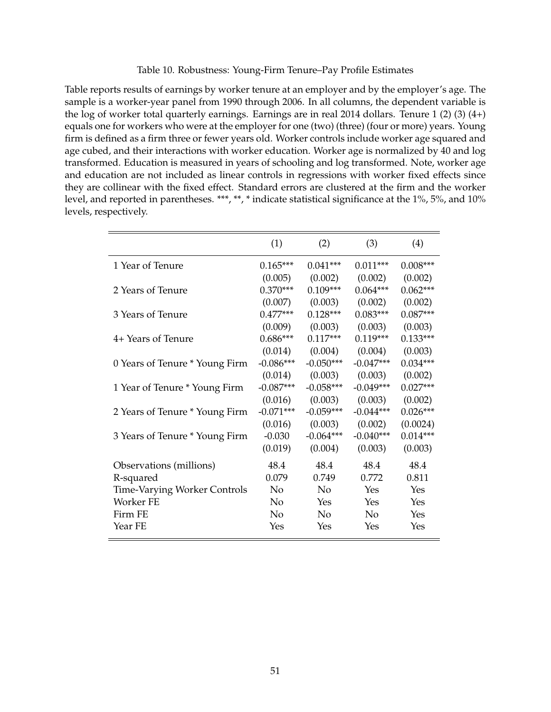Table 10. Robustness: Young-Firm Tenure–Pay Profile Estimates

Table reports results of earnings by worker tenure at an employer and by the employer's age. The sample is a worker-year panel from 1990 through 2006. In all columns, the dependent variable is the log of worker total quarterly earnings. Earnings are in real 2014 dollars. Tenure 1 (2) (3) (4+) equals one for workers who were at the employer for one (two) (three) (four or more) years. Young firm is defined as a firm three or fewer years old. Worker controls include worker age squared and age cubed, and their interactions with worker education. Worker age is normalized by 40 and log transformed. Education is measured in years of schooling and log transformed. Note, worker age and education are not included as linear controls in regressions with worker fixed effects since they are collinear with the fixed effect. Standard errors are clustered at the firm and the worker level, and reported in parentheses. \*\*\*, \*\*, \* indicate statistical significance at the 1%, 5%, and 10% levels, respectively.

|                                     | (1)         | (2)         | (3)         | (4)        |
|-------------------------------------|-------------|-------------|-------------|------------|
| 1 Year of Tenure                    | $0.165***$  | $0.041***$  | $0.011***$  | $0.008***$ |
|                                     | (0.005)     | (0.002)     | (0.002)     | (0.002)    |
| 2 Years of Tenure                   | $0.370***$  | $0.109***$  | $0.064***$  | $0.062***$ |
|                                     | (0.007)     | (0.003)     | (0.002)     | (0.002)    |
| 3 Years of Tenure                   | $0.477***$  | $0.128***$  | $0.083***$  | $0.087***$ |
|                                     | (0.009)     | (0.003)     | (0.003)     | (0.003)    |
| 4+ Years of Tenure                  | $0.686***$  | $0.117***$  | $0.119***$  | $0.133***$ |
|                                     | (0.014)     | (0.004)     | (0.004)     | (0.003)    |
| 0 Years of Tenure * Young Firm      | $-0.086***$ | $-0.050***$ | $-0.047***$ | $0.034***$ |
|                                     | (0.014)     | (0.003)     | (0.003)     | (0.002)    |
| 1 Year of Tenure * Young Firm       | $-0.087***$ | $-0.058***$ | $-0.049***$ | $0.027***$ |
|                                     | (0.016)     | (0.003)     | (0.003)     | (0.002)    |
| 2 Years of Tenure * Young Firm      | $-0.071***$ | $-0.059***$ | $-0.044***$ | $0.026***$ |
|                                     | (0.016)     | (0.003)     | (0.002)     | (0.0024)   |
| 3 Years of Tenure * Young Firm      | $-0.030$    | $-0.064***$ | $-0.040***$ | $0.014***$ |
|                                     | (0.019)     | (0.004)     | (0.003)     | (0.003)    |
| Observations (millions)             | 48.4        | 48.4        | 48.4        | 48.4       |
| R-squared                           | 0.079       | 0.749       | 0.772       | 0.811      |
| <b>Time-Varying Worker Controls</b> | No          | $\rm No$    | Yes         | Yes        |
| Worker FE                           | No          | Yes         | Yes         | Yes        |
| Firm FE                             | No          | No          | No          | Yes        |
| Year FE                             | Yes         | Yes         | Yes         | Yes        |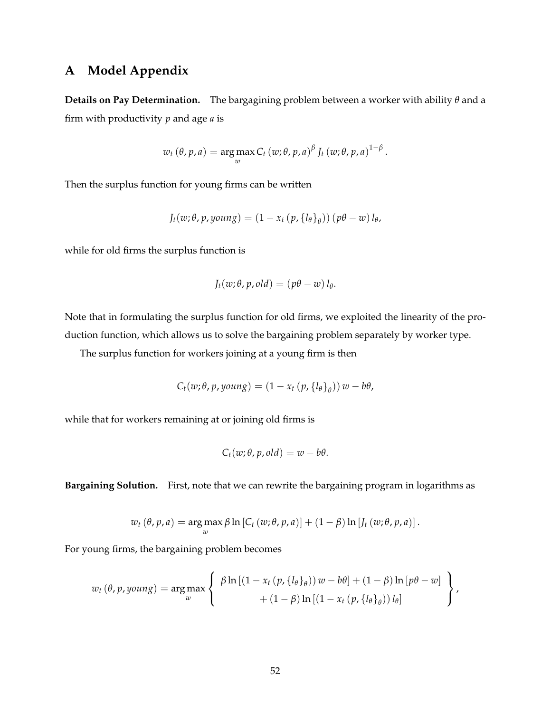# **A Model Appendix**

**Details on Pay Determination.** The bargagining problem between a worker with ability *θ* and a firm with productivity *p* and age *a* is

$$
w_t(\theta, p, a) = \underset{w}{\arg \max} C_t(w; \theta, p, a)^{\beta} J_t(w; \theta, p, a)^{1-\beta}.
$$

Then the surplus function for young firms can be written

$$
J_t(w; \theta, p, \text{young}) = (1 - x_t (p, \{l_\theta\}_\theta)) (p\theta - w) l_\theta,
$$

while for old firms the surplus function is

$$
J_t(w; \theta, p, old) = (p\theta - w) l_\theta.
$$

Note that in formulating the surplus function for old firms, we exploited the linearity of the production function, which allows us to solve the bargaining problem separately by worker type.

The surplus function for workers joining at a young firm is then

$$
C_t(w; \theta, p, \text{young}) = (1 - x_t (p, \{l_\theta\}_\theta)) w - b\theta,
$$

while that for workers remaining at or joining old firms is

$$
C_t(w; \theta, p, old) = w - b\theta.
$$

**Bargaining Solution.** First, note that we can rewrite the bargaining program in logarithms as

$$
w_t(\theta, p, a) = \underset{w}{\arg \max} \beta \ln \left[ C_t(w; \theta, p, a) \right] + (1 - \beta) \ln \left[ J_t(w; \theta, p, a) \right].
$$

For young firms, the bargaining problem becomes

$$
w_t(\theta, p, young) = \underset{w}{\arg \max} \left\{ \begin{array}{c} \beta \ln \left[ \left( 1 - x_t \left( p, \{l_\theta\}_\theta \right) \right) w - b\theta \right] + \left( 1 - \beta \right) \ln \left[ p\theta - w \right] \\ + \left( 1 - \beta \right) \ln \left[ \left( 1 - x_t \left( p, \{l_\theta\}_\theta \right) \right) l_\theta \right] \end{array} \right\},
$$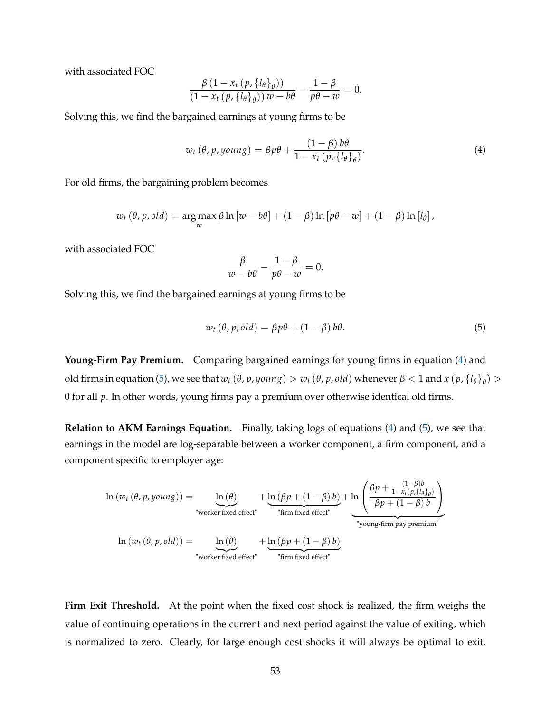with associated FOC

$$
\frac{\beta(1-x_t(p,\lbrace l_{\theta}\rbrace_{\theta}))}{(1-x_t(p,\lbrace l_{\theta}\rbrace_{\theta}))w-b\theta}-\frac{1-\beta}{p\theta-w}=0.
$$

Solving this, we find the bargained earnings at young firms to be

$$
w_t(\theta, p, young) = \beta p \theta + \frac{(1 - \beta) b \theta}{1 - x_t (p, \{l_\theta\}_\theta)}.
$$
\n(4)

For old firms, the bargaining problem becomes

$$
w_t(\theta, p, old) = \argmax_{w} \beta \ln [w - b\theta] + (1 - \beta) \ln [p\theta - w] + (1 - \beta) \ln [l_{\theta}],
$$

with associated FOC

$$
\frac{\beta}{w - b\theta} - \frac{1 - \beta}{p\theta - w} = 0.
$$

Solving this, we find the bargained earnings at young firms to be

$$
w_t(\theta, p, old) = \beta p\theta + (1 - \beta) b\theta.
$$
 (5)

**Young-Firm Pay Premium.** Comparing bargained earnings for young firms in equation (4) and old firms in equation (5), we see that  $w_t$  ( $\theta$ ,  $p$ ,  $young$ )  $> w_t$  ( $\theta$ ,  $p$ ,  $old$ ) whenever  $\beta$  < 1 and  $x$  ( $p$ ,  $\{l_\theta\}_\theta$ )  $>$ 0 for all *p*. In other words, young firms pay a premium over otherwise identical old firms.

**Relation to AKM Earnings Equation.** Finally, taking logs of equations (4) and (5), we see that earnings in the model are log-separable between a worker component, a firm component, and a component specific to employer age:

$$
\ln (w_t(\theta, p, young)) = \underbrace{\ln (\theta)}_{\text{"worker fixed effect"}} + \underbrace{\ln (\beta p + (1 - \beta) b)}_{\text{"firm fixed effect"}} + \underbrace{\ln (\beta p + (1 - \beta) b)}_{\text{"firm fixed effect"}} + \underbrace{\ln \left( \frac{\beta p + \frac{(1 - \beta)b}{1 - x_t(p, \{b\}_\theta)}}{\beta p + (1 - \beta) b} \right)}_{\text{"young-firm pay premium"}}
$$
\n
$$
\ln (w_t(\theta, p, old)) = \underbrace{\ln (\theta)}_{\text{"worker fixed effect"}} + \underbrace{\ln (\beta p + (1 - \beta) b)}_{\text{"from fixed effect"}}
$$

**Firm Exit Threshold.** At the point when the fixed cost shock is realized, the firm weighs the value of continuing operations in the current and next period against the value of exiting, which is normalized to zero. Clearly, for large enough cost shocks it will always be optimal to exit.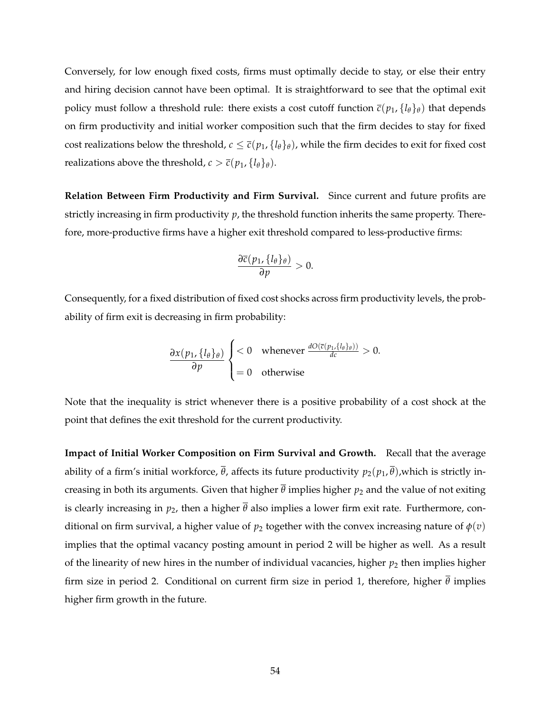Conversely, for low enough fixed costs, firms must optimally decide to stay, or else their entry and hiring decision cannot have been optimal. It is straightforward to see that the optimal exit policy must follow a threshold rule: there exists a cost cutoff function  $\bar{c}(p_1, \{l_\theta\}_\theta)$  that depends on firm productivity and initial worker composition such that the firm decides to stay for fixed cost realizations below the threshold,  $c \le \bar{c}(p_1, \{l_\theta\}_\theta)$ , while the firm decides to exit for fixed cost realizations above the threshold,  $c > \overline{c}(p_1, \{l_\theta\}_\theta)$ .

**Relation Between Firm Productivity and Firm Survival.** Since current and future profits are strictly increasing in firm productivity *p*, the threshold function inherits the same property. Therefore, more-productive firms have a higher exit threshold compared to less-productive firms:

$$
\frac{\partial \overline{c}(p_1, \{l_\theta\}_\theta)}{\partial p} > 0.
$$

Consequently, for a fixed distribution of fixed cost shocks across firm productivity levels, the probability of firm exit is decreasing in firm probability:

$$
\frac{\partial x(p_1, \{l_\theta\}_\theta)}{\partial p} \begin{cases} < 0 \quad \text{whenever} \quad \frac{dO(\overline{c}(p_1, \{l_\theta\}_\theta))}{dc} > 0. \\ = 0 \quad \text{otherwise} \end{cases}
$$

Note that the inequality is strict whenever there is a positive probability of a cost shock at the point that defines the exit threshold for the current productivity.

**Impact of Initial Worker Composition on Firm Survival and Growth.** Recall that the average ability of a firm's initial workforce,  $\overline{\theta}$ , affects its future productivity  $p_2(p_1, \overline{\theta})$ , which is strictly increasing in both its arguments. Given that higher  $\bar{\theta}$  implies higher  $p_2$  and the value of not exiting is clearly increasing in  $p_2$ , then a higher  $\bar{\theta}$  also implies a lower firm exit rate. Furthermore, conditional on firm survival, a higher value of  $p_2$  together with the convex increasing nature of  $\phi(v)$ implies that the optimal vacancy posting amount in period 2 will be higher as well. As a result of the linearity of new hires in the number of individual vacancies, higher  $p_2$  then implies higher firm size in period 2. Conditional on current firm size in period 1, therefore, higher *θ* implies higher firm growth in the future.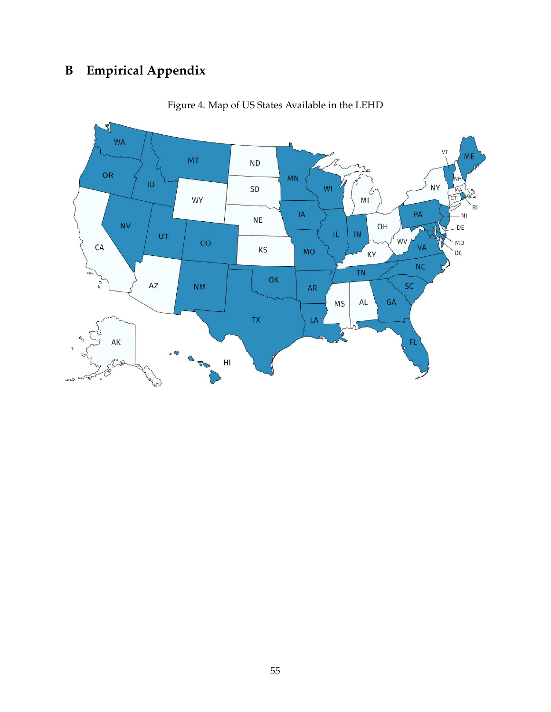# **B Empirical Appendix**



Figure 4. Map of US States Available in the LEHD